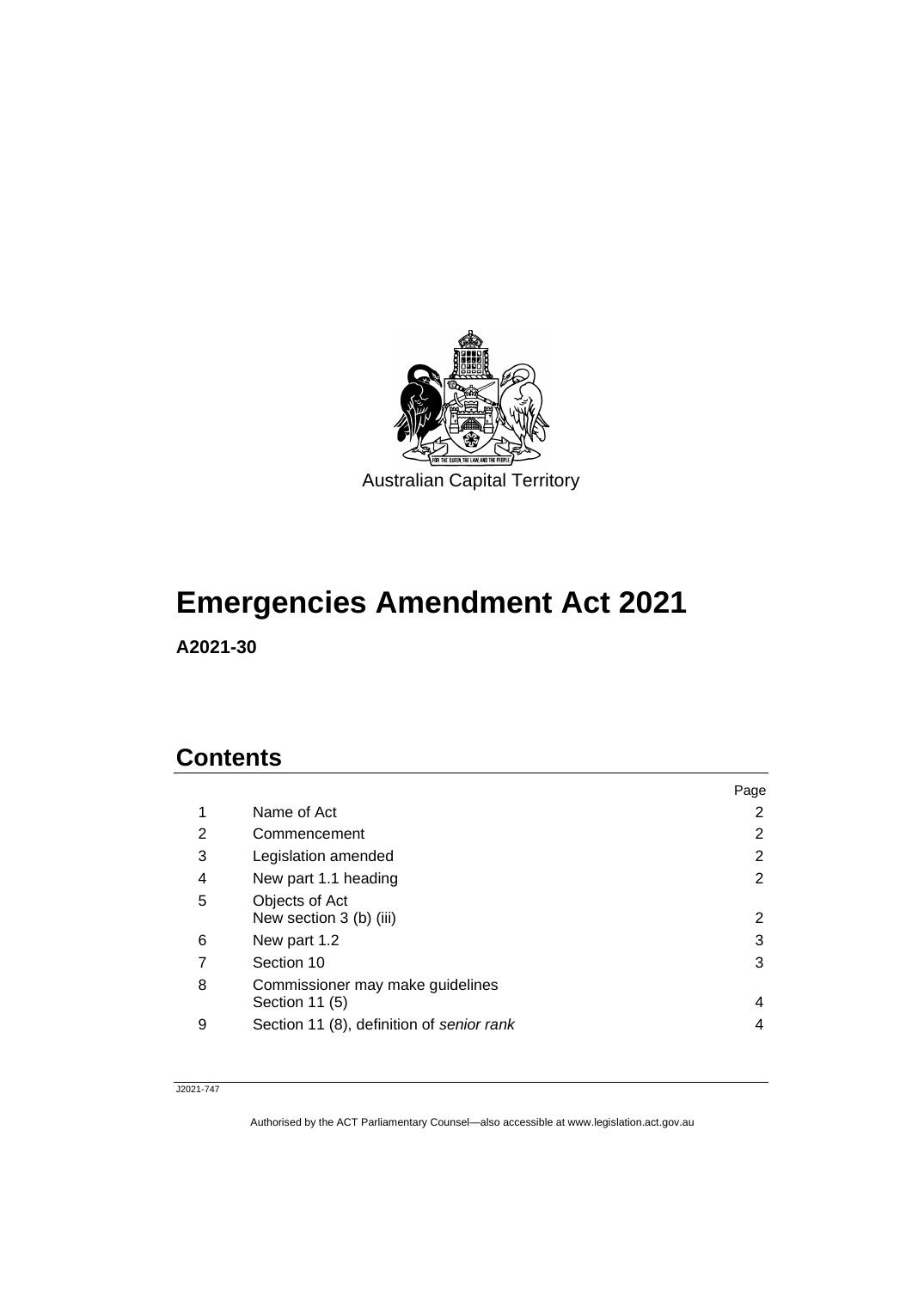

# **Emergencies Amendment Act 2021**

**A2021-30**

### **Contents**

|   |                                                    | Page |
|---|----------------------------------------------------|------|
| 1 | Name of Act                                        | 2    |
| 2 | Commencement                                       | 2    |
| 3 | Legislation amended                                | 2    |
| 4 | New part 1.1 heading                               | 2    |
| 5 | Objects of Act<br>New section 3 (b) (iii)          | 2    |
| 6 | New part 1.2                                       | 3    |
|   | Section 10                                         | 3    |
| 8 | Commissioner may make guidelines<br>Section 11 (5) | 4    |
| 9 | Section 11 (8), definition of senior rank          | 4    |

#### J2021-747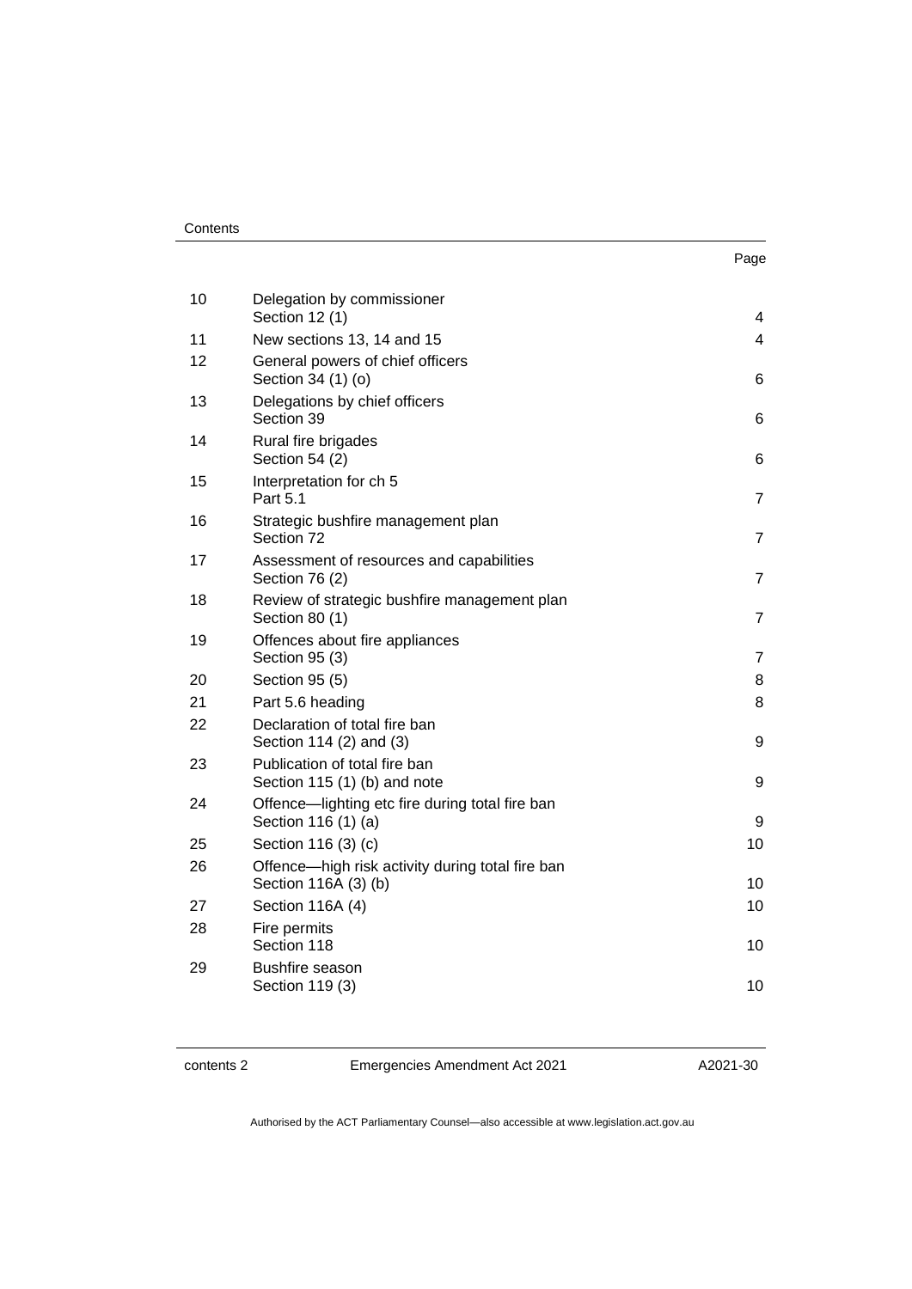#### **Contents**

| 10 | Delegation by commissioner<br>Section 12 (1)                             | 4              |
|----|--------------------------------------------------------------------------|----------------|
| 11 | New sections 13, 14 and 15                                               | 4              |
| 12 | General powers of chief officers<br>Section 34 (1) (o)                   | 6              |
| 13 | Delegations by chief officers<br>Section 39                              | 6              |
| 14 | Rural fire brigades<br>Section 54 (2)                                    | 6              |
| 15 | Interpretation for ch 5<br>Part 5.1                                      | $\overline{7}$ |
| 16 | Strategic bushfire management plan<br>Section 72                         | $\overline{7}$ |
| 17 | Assessment of resources and capabilities<br>Section 76 (2)               | $\overline{7}$ |
| 18 | Review of strategic bushfire management plan<br>Section 80 (1)           | $\overline{7}$ |
| 19 | Offences about fire appliances<br>Section 95 (3)                         | $\overline{7}$ |
| 20 | Section 95 (5)                                                           | 8              |
| 21 | Part 5.6 heading                                                         | 8              |
| 22 | Declaration of total fire ban<br>Section 114 (2) and (3)                 | 9              |
| 23 | Publication of total fire ban<br>Section 115 (1) (b) and note            | 9              |
| 24 | Offence-lighting etc fire during total fire ban<br>Section 116 (1) (a)   | 9              |
| 25 | Section 116 (3) (c)                                                      | 10             |
| 26 | Offence-high risk activity during total fire ban<br>Section 116A (3) (b) | 10             |
| 27 | Section 116A (4)                                                         | 10             |
| 28 | Fire permits<br>Section 118                                              | 10             |
| 29 | <b>Bushfire season</b><br>Section 119 (3)                                | 10             |
|    |                                                                          |                |

contents 2 Emergencies Amendment Act 2021

A2021-30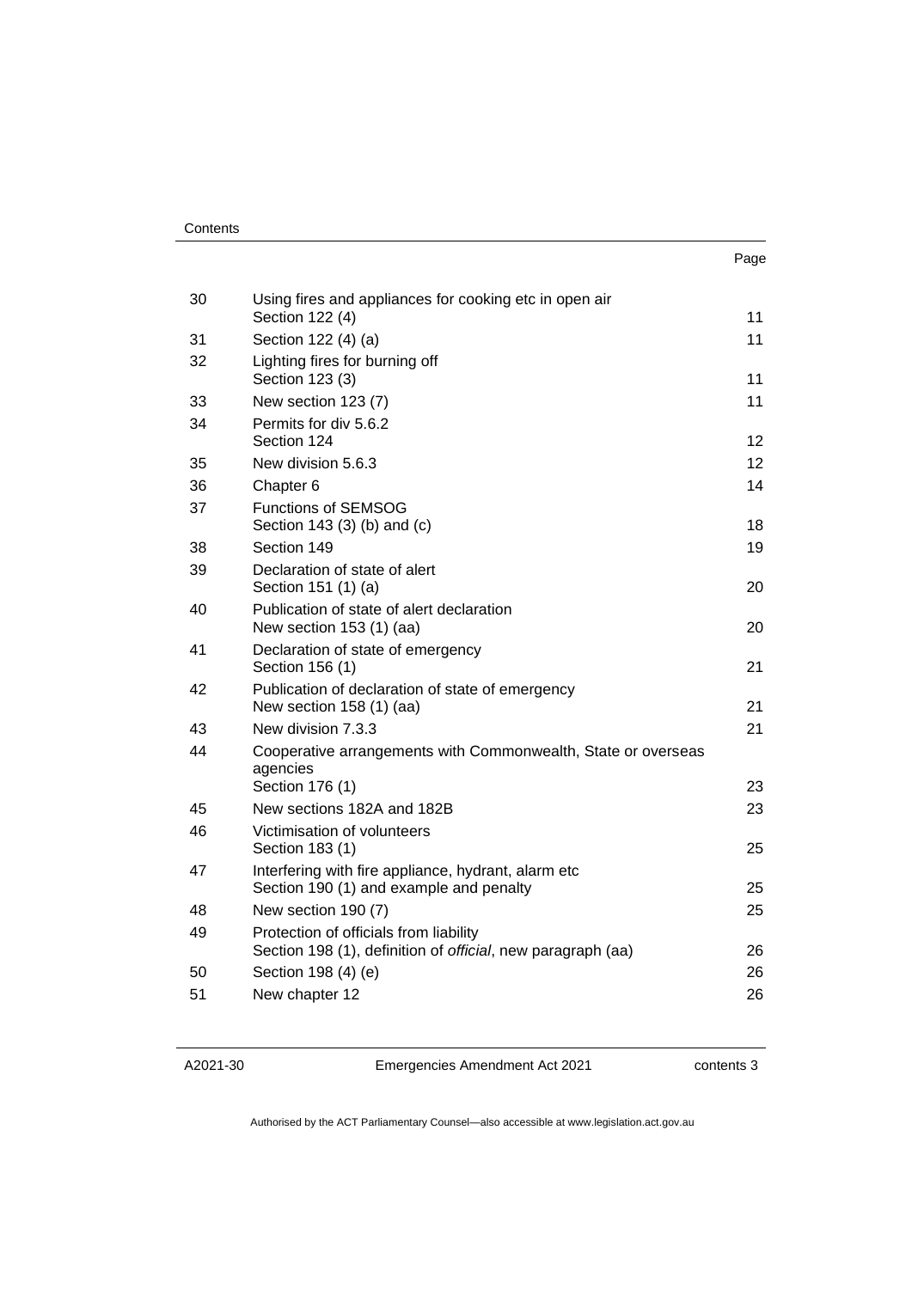| ×<br>. .<br>۰.<br>× |
|---------------------|
|---------------------|

| 30 | Using fires and appliances for cooking etc in open air<br>Section 122 (4)                             | 11 |
|----|-------------------------------------------------------------------------------------------------------|----|
| 31 | Section 122 (4) (a)                                                                                   | 11 |
| 32 | Lighting fires for burning off<br>Section 123 (3)                                                     | 11 |
| 33 | New section 123 (7)                                                                                   | 11 |
| 34 | Permits for div 5.6.2<br>Section 124                                                                  | 12 |
| 35 | New division 5.6.3                                                                                    | 12 |
| 36 | Chapter 6                                                                                             | 14 |
| 37 | <b>Functions of SEMSOG</b><br>Section 143 (3) (b) and (c)                                             | 18 |
| 38 | Section 149                                                                                           | 19 |
| 39 | Declaration of state of alert<br>Section 151 (1) (a)                                                  | 20 |
| 40 | Publication of state of alert declaration<br>New section 153 (1) (aa)                                 | 20 |
| 41 | Declaration of state of emergency<br>Section 156 (1)                                                  | 21 |
| 42 | Publication of declaration of state of emergency<br>New section 158 (1) (aa)                          | 21 |
| 43 | New division 7.3.3                                                                                    | 21 |
| 44 | Cooperative arrangements with Commonwealth, State or overseas<br>agencies                             |    |
|    | Section 176 (1)                                                                                       | 23 |
| 45 | New sections 182A and 182B                                                                            | 23 |
| 46 | Victimisation of volunteers<br>Section 183 (1)                                                        | 25 |
| 47 | Interfering with fire appliance, hydrant, alarm etc<br>Section 190 (1) and example and penalty        | 25 |
| 48 | New section 190 (7)                                                                                   | 25 |
| 49 | Protection of officials from liability<br>Section 198 (1), definition of official, new paragraph (aa) | 26 |
| 50 | Section 198 (4) (e)                                                                                   | 26 |
| 51 | New chapter 12                                                                                        | 26 |
|    |                                                                                                       |    |

Emergencies Amendment Act 2021

contents 3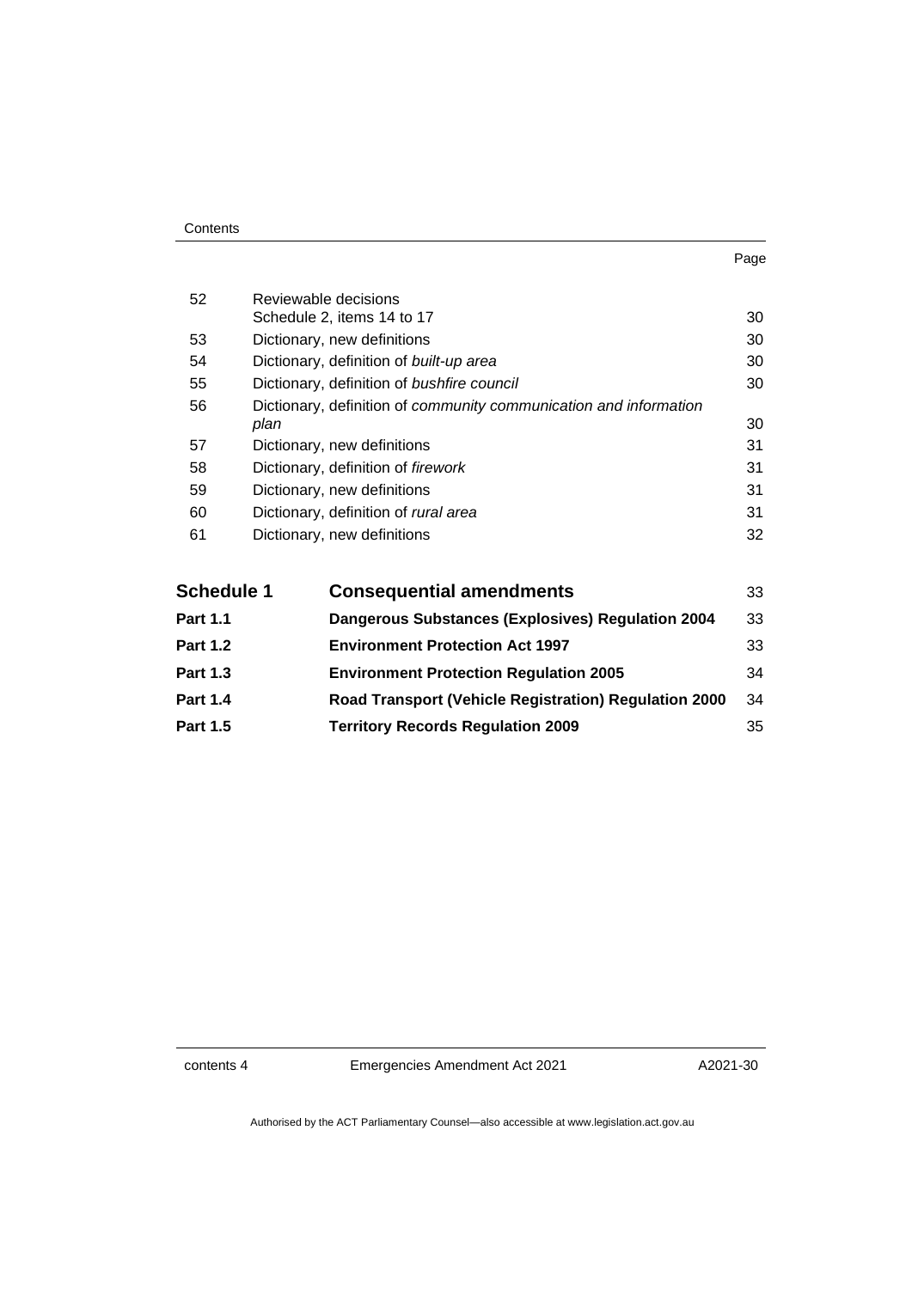| Contents |
|----------|
|----------|

| 52 | Reviewable decisions                                              |    |
|----|-------------------------------------------------------------------|----|
|    | Schedule 2, items 14 to 17                                        | 30 |
| 53 | Dictionary, new definitions                                       | 30 |
| 54 | Dictionary, definition of built-up area                           | 30 |
| 55 | Dictionary, definition of bushfire council                        | 30 |
| 56 | Dictionary, definition of community communication and information |    |
|    | plan                                                              | 30 |
| 57 | Dictionary, new definitions                                       | 31 |
| 58 | Dictionary, definition of firework                                | 31 |
| 59 | Dictionary, new definitions                                       | 31 |
| 60 | Dictionary, definition of rural area                              | 31 |
| 61 | Dictionary, new definitions                                       | 32 |
|    |                                                                   |    |
|    |                                                                   |    |

| <b>Schedule 1</b> | <b>Consequential amendments</b>                          | 33 |
|-------------------|----------------------------------------------------------|----|
| <b>Part 1.1</b>   | <b>Dangerous Substances (Explosives) Regulation 2004</b> | 33 |
| <b>Part 1.2</b>   | <b>Environment Protection Act 1997</b>                   | 33 |
| <b>Part 1.3</b>   | <b>Environment Protection Regulation 2005</b>            | 34 |
| <b>Part 1.4</b>   | Road Transport (Vehicle Registration) Regulation 2000    | 34 |
| <b>Part 1.5</b>   | <b>Territory Records Regulation 2009</b>                 | 35 |

contents 4 Emergencies Amendment Act 2021

A2021-30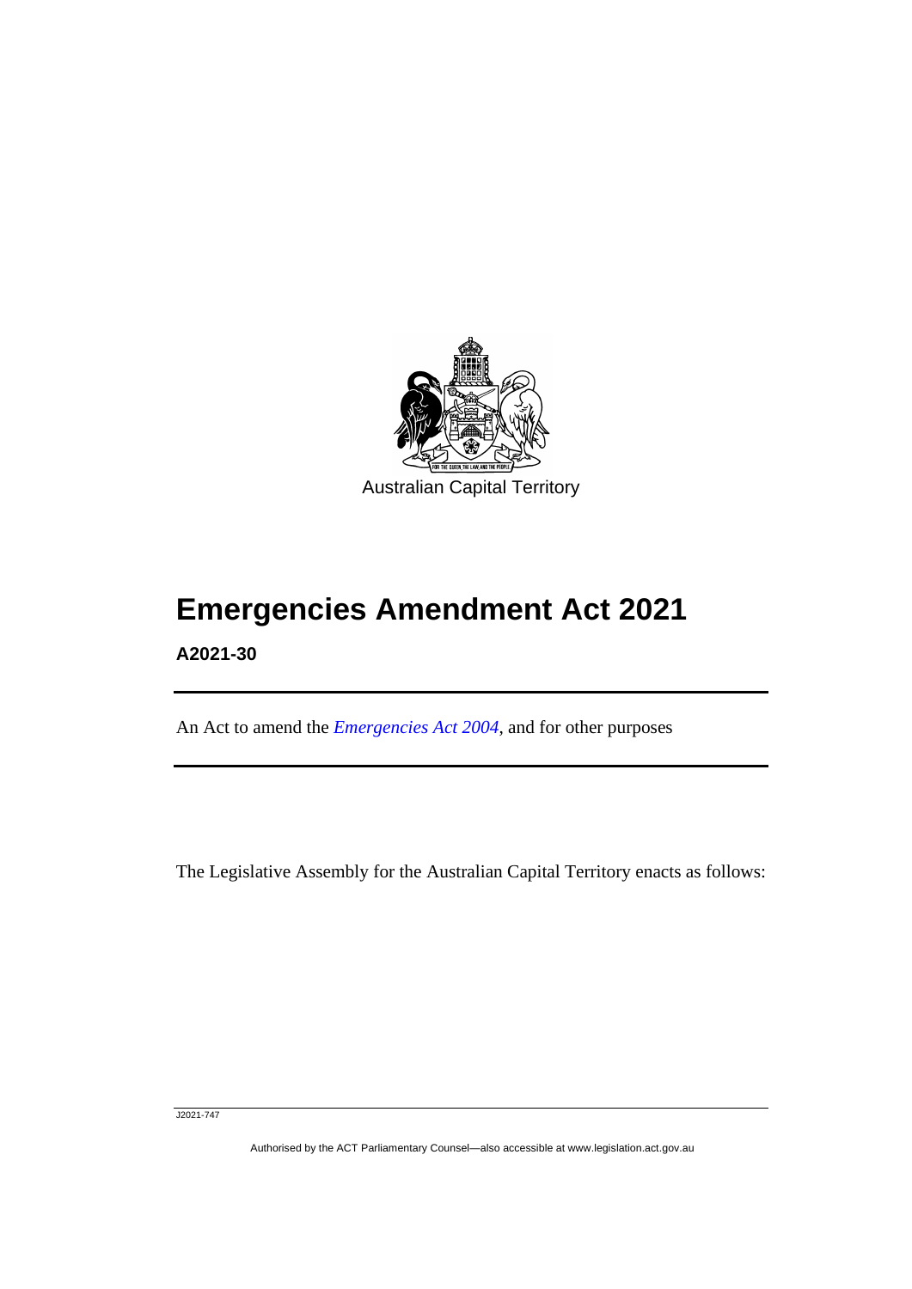

# **Emergencies Amendment Act 2021**

**A2021-30**

٦

An Act to amend the *[Emergencies Act 2004](http://www.legislation.act.gov.au/a/2004-28)*, and for other purposes

The Legislative Assembly for the Australian Capital Territory enacts as follows:

J2021-747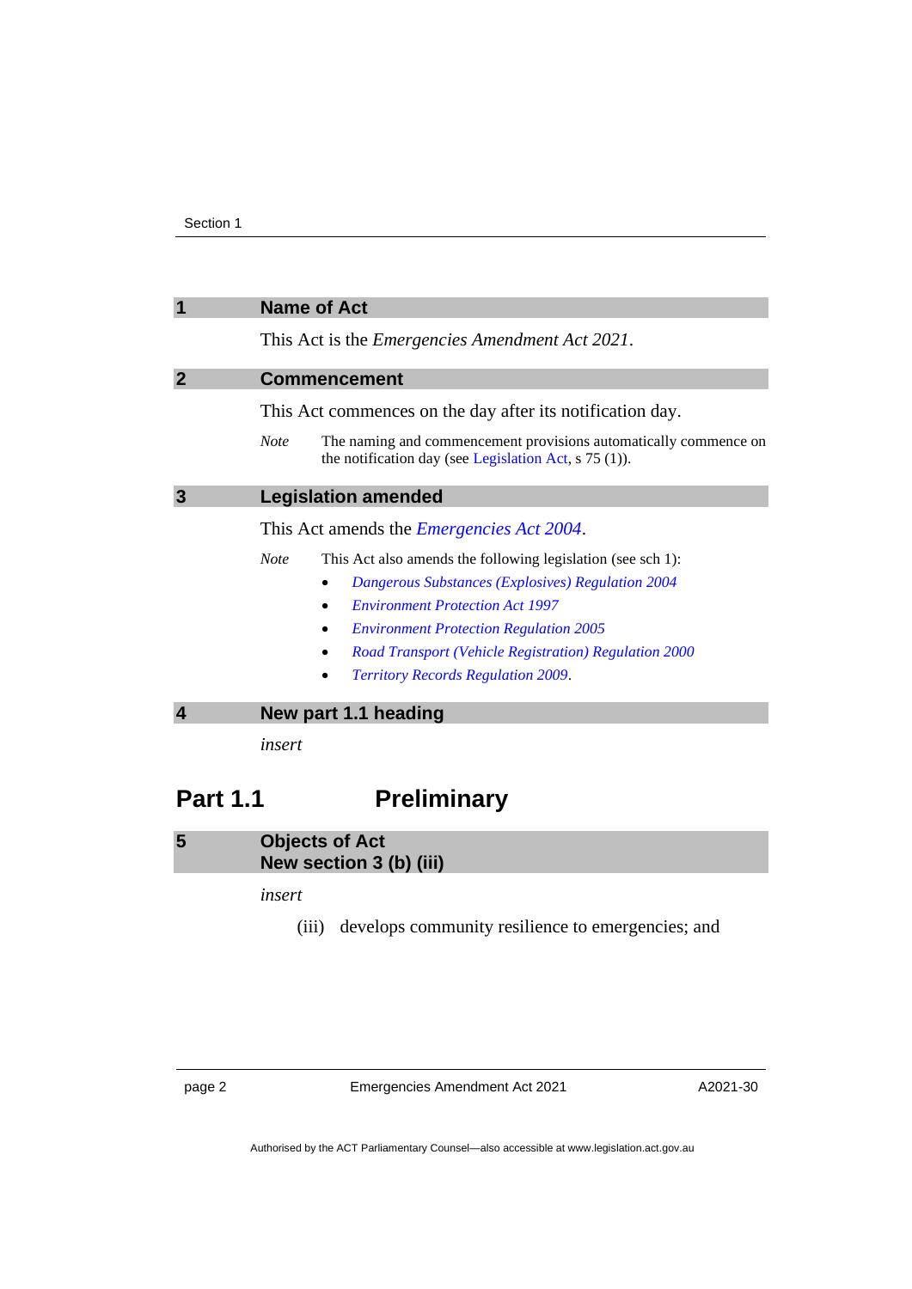<span id="page-5-2"></span><span id="page-5-1"></span><span id="page-5-0"></span>

|                       | <b>Name of Act</b>                                                                                                                         |
|-----------------------|--------------------------------------------------------------------------------------------------------------------------------------------|
|                       | This Act is the <i>Emergencies Amendment Act 2021</i> .                                                                                    |
| $\mathbf{2}$          | <b>Commencement</b>                                                                                                                        |
|                       | This Act commences on the day after its notification day.                                                                                  |
|                       | <b>Note</b><br>The naming and commencement provisions automatically commence on<br>the notification day (see Legislation Act, $s$ 75 (1)). |
| 3                     | <b>Legislation amended</b>                                                                                                                 |
|                       | This Act amends the <i>Emergencies Act 2004</i> .                                                                                          |
|                       | <b>Note</b><br>This Act also amends the following legislation (see sch 1):                                                                 |
|                       | <b>Dangerous Substances (Explosives) Regulation 2004</b>                                                                                   |
|                       | <b>Environment Protection Act 1997</b>                                                                                                     |
|                       | <b>Environment Protection Regulation 2005</b>                                                                                              |
|                       | Road Transport (Vehicle Registration) Regulation 2000                                                                                      |
|                       | <b>Territory Records Regulation 2009.</b>                                                                                                  |
| $\boldsymbol{\Delta}$ | New part 1.1 heading                                                                                                                       |
|                       | insert                                                                                                                                     |

### <span id="page-5-3"></span>**Part 1.1 Preliminary**

<span id="page-5-4"></span>**5 Objects of Act New section 3 (b) (iii)**

*insert*

(iii) develops community resilience to emergencies; and

page 2 Emergencies Amendment Act 2021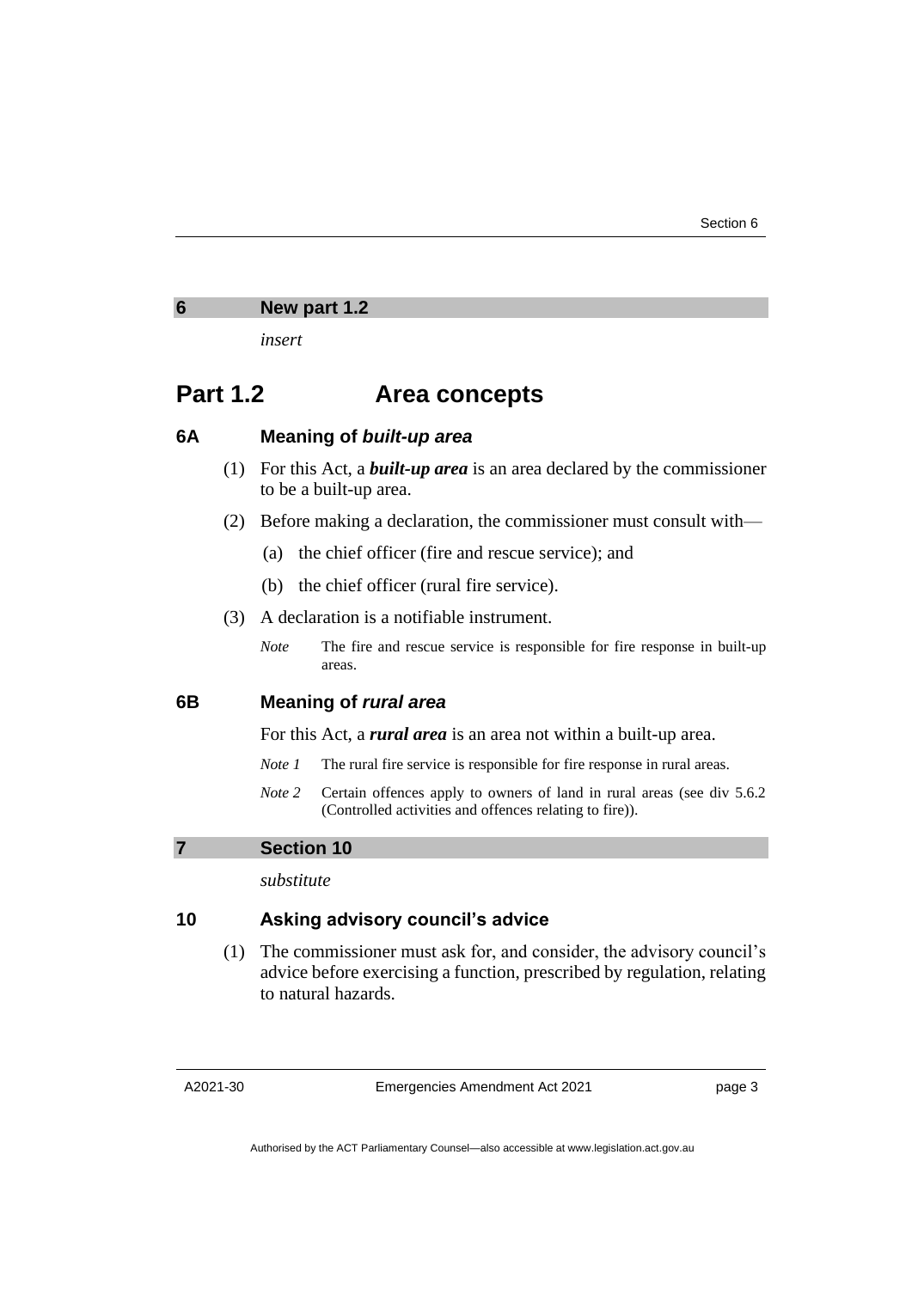<span id="page-6-0"></span>

| 6 | New part 1.2 |  |
|---|--------------|--|
|   |              |  |

*insert*

### **Part 1.2 Area concepts**

#### **6A Meaning of** *built-up area*

- (1) For this Act, a *built-up area* is an area declared by the commissioner to be a built-up area.
- (2) Before making a declaration, the commissioner must consult with—
	- (a) the chief officer (fire and rescue service); and
	- (b) the chief officer (rural fire service).
- (3) A declaration is a notifiable instrument.
	- *Note* The fire and rescue service is responsible for fire response in built-up areas.

#### **6B Meaning of** *rural area*

For this Act, a *rural area* is an area not within a built-up area.

- *Note 1* The rural fire service is responsible for fire response in rural areas.
- *Note* 2 Certain offences apply to owners of land in rural areas (see div 5.6.2) (Controlled activities and offences relating to fire)).

#### <span id="page-6-1"></span>**7 Section 10**

*substitute*

#### **10 Asking advisory council's advice**

(1) The commissioner must ask for, and consider, the advisory council's advice before exercising a function, prescribed by regulation, relating to natural hazards.

Emergencies Amendment Act 2021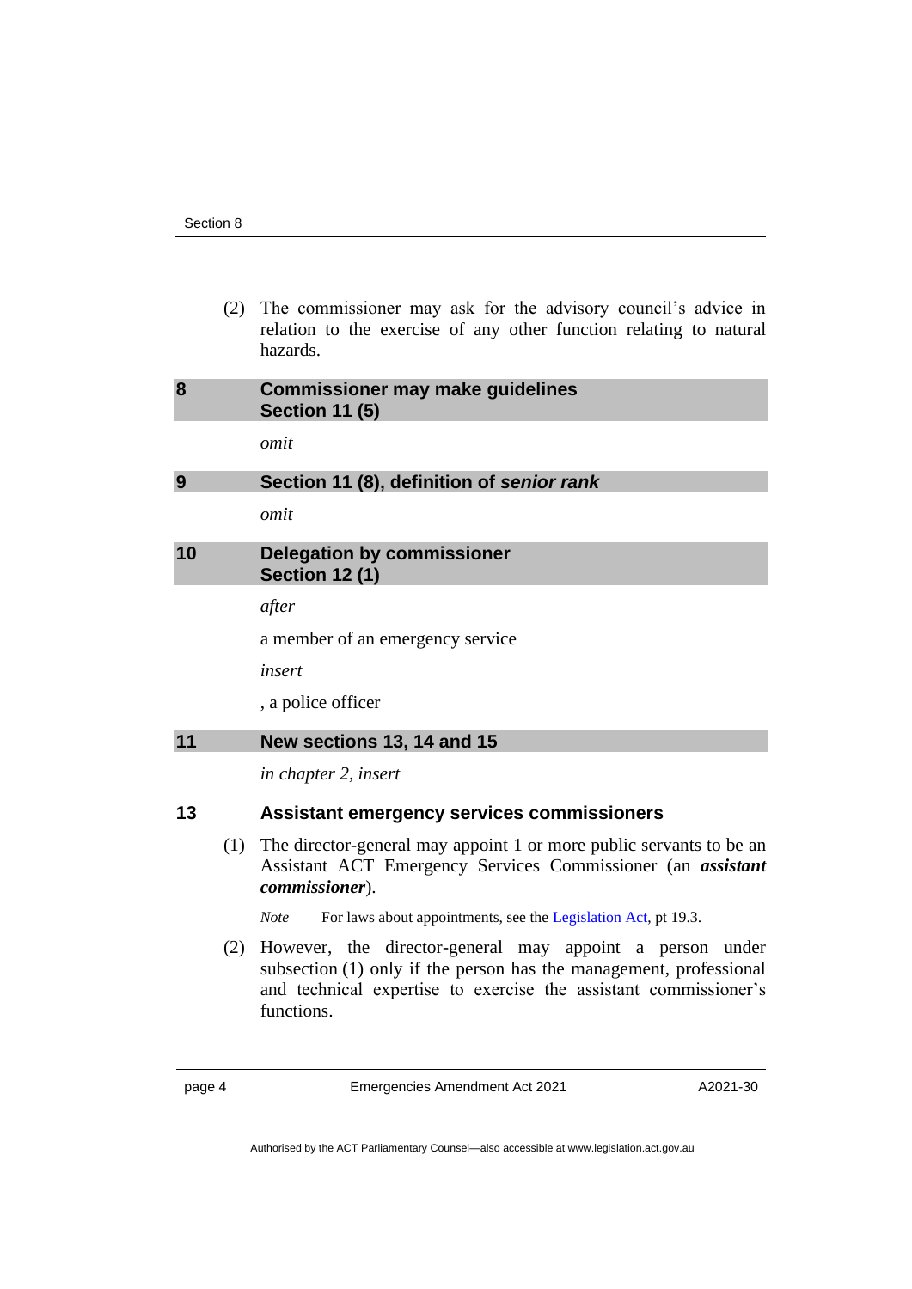(2) The commissioner may ask for the advisory council's advice in relation to the exercise of any other function relating to natural hazards.

<span id="page-7-1"></span><span id="page-7-0"></span>

| 8 | <b>Commissioner may make guidelines</b><br><b>Section 11 (5)</b> |
|---|------------------------------------------------------------------|
|   | omit                                                             |
| 9 | Section 11 (8), definition of senior rank                        |
|   |                                                                  |

*omit*

#### <span id="page-7-2"></span>**10 Delegation by commissioner Section 12 (1)**

*after*

a member of an emergency service

*insert*

, a police officer

#### <span id="page-7-3"></span>**11 New sections 13, 14 and 15**

*in chapter 2, insert*

#### **13 Assistant emergency services commissioners**

(1) The director-general may appoint 1 or more public servants to be an Assistant ACT Emergency Services Commissioner (an *assistant commissioner*).

*Note* For laws about appointments, see the [Legislation Act,](http://www.legislation.act.gov.au/a/2001-14) pt 19.3.

(2) However, the director-general may appoint a person under subsection (1) only if the person has the management, professional and technical expertise to exercise the assistant commissioner's functions.

page 4 Emergencies Amendment Act 2021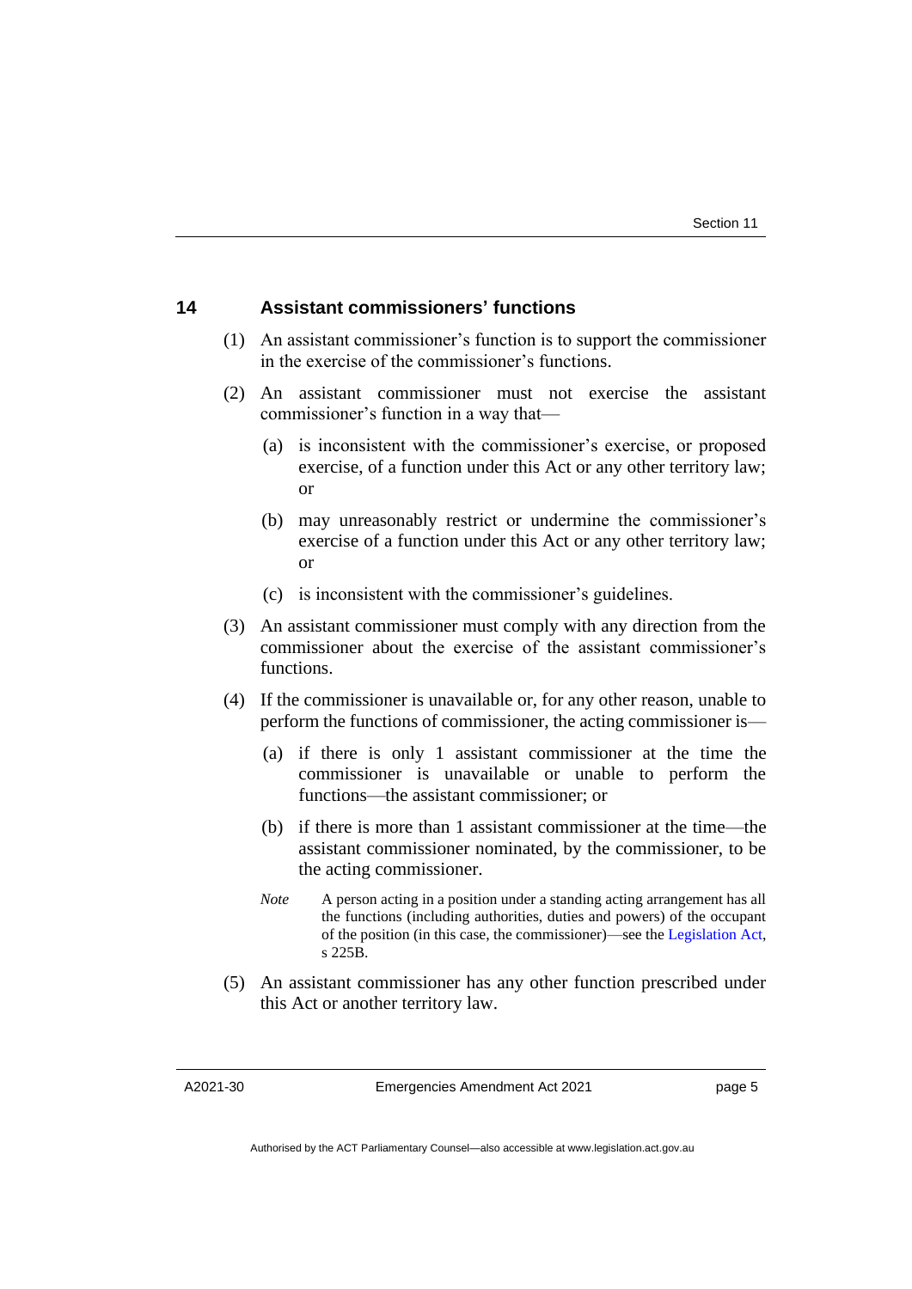#### **14 Assistant commissioners' functions**

- (1) An assistant commissioner's function is to support the commissioner in the exercise of the commissioner's functions.
- (2) An assistant commissioner must not exercise the assistant commissioner's function in a way that—
	- (a) is inconsistent with the commissioner's exercise, or proposed exercise, of a function under this Act or any other territory law; or
	- (b) may unreasonably restrict or undermine the commissioner's exercise of a function under this Act or any other territory law; or
	- (c) is inconsistent with the commissioner's guidelines.
- (3) An assistant commissioner must comply with any direction from the commissioner about the exercise of the assistant commissioner's functions.
- (4) If the commissioner is unavailable or, for any other reason, unable to perform the functions of commissioner, the acting commissioner is—
	- (a) if there is only 1 assistant commissioner at the time the commissioner is unavailable or unable to perform the functions—the assistant commissioner; or
	- (b) if there is more than 1 assistant commissioner at the time—the assistant commissioner nominated, by the commissioner, to be the acting commissioner.
	- *Note* A person acting in a position under a standing acting arrangement has all the functions (including authorities, duties and powers) of the occupant of the position (in this case, the commissioner)—see the [Legislation Act,](http://www.legislation.act.gov.au/a/2001-14) s 225B.
- (5) An assistant commissioner has any other function prescribed under this Act or another territory law.

A2021-30

Emergencies Amendment Act 2021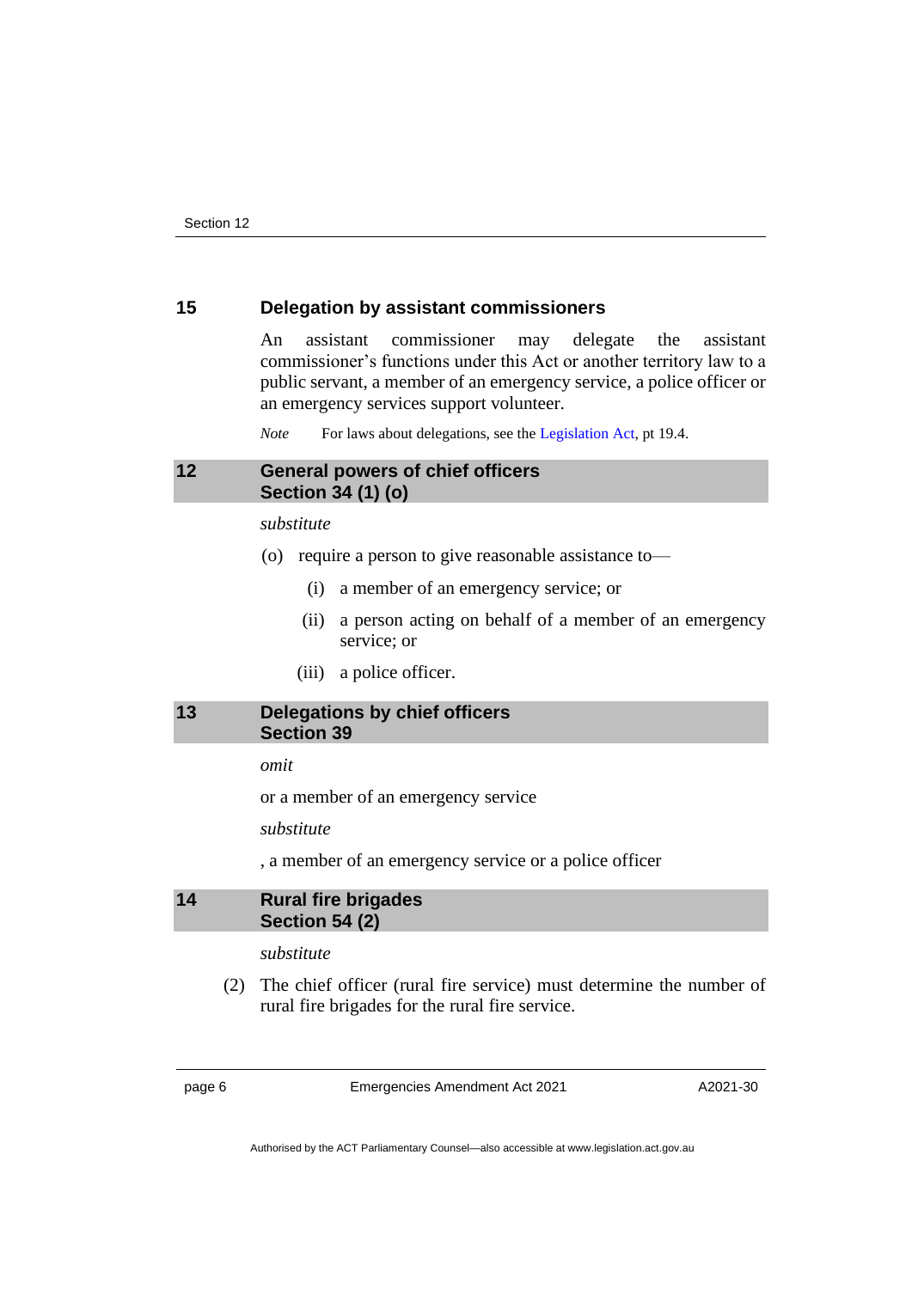#### **15 Delegation by assistant commissioners**

An assistant commissioner may delegate the assistant commissioner's functions under this Act or another territory law to a public servant, a member of an emergency service, a police officer or an emergency services support volunteer.

*Note* For laws about delegations, see the [Legislation Act,](http://www.legislation.act.gov.au/a/2001-14) pt 19.4.

#### <span id="page-9-0"></span>**12 General powers of chief officers Section 34 (1) (o)**

*substitute*

- (o) require a person to give reasonable assistance to—
	- (i) a member of an emergency service; or
	- (ii) a person acting on behalf of a member of an emergency service; or
	- (iii) a police officer.

#### <span id="page-9-1"></span>**13 Delegations by chief officers Section 39**

#### *omit*

or a member of an emergency service

*substitute*

, a member of an emergency service or a police officer

#### <span id="page-9-2"></span>**14 Rural fire brigades Section 54 (2)**

#### *substitute*

(2) The chief officer (rural fire service) must determine the number of rural fire brigades for the rural fire service.

page 6 Emergencies Amendment Act 2021

A2021-30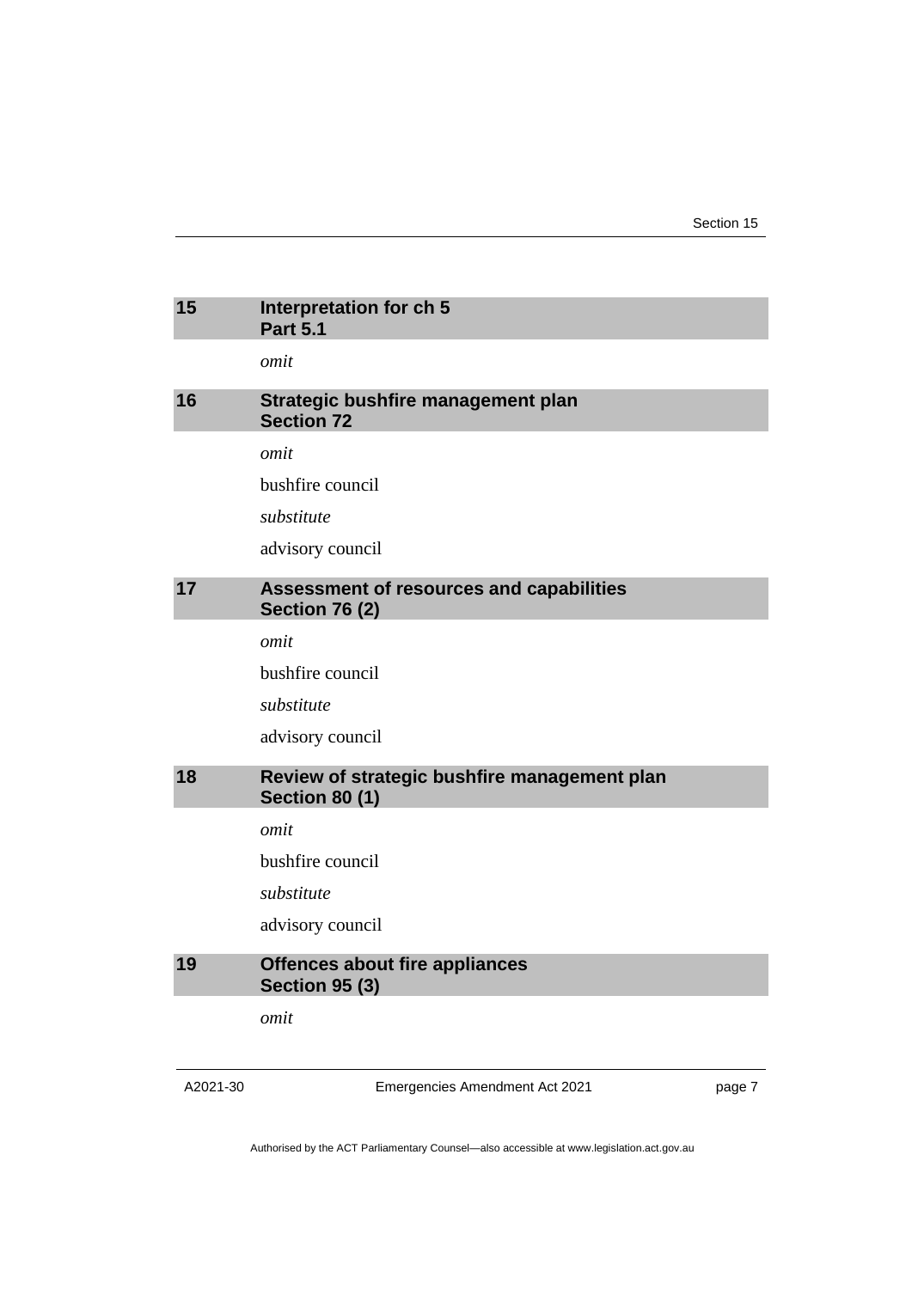### <span id="page-10-2"></span><span id="page-10-1"></span><span id="page-10-0"></span>**15 Interpretation for ch 5 Part 5.1** *omit* **16 Strategic bushfire management plan Section 72** *omit* bushfire council *substitute* advisory council **17 Assessment of resources and capabilities Section 76 (2)** *omit* bushfire council *substitute* advisory council **18 Review of strategic bushfire management plan Section 80 (1)** *omit* bushfire council *substitute* advisory council **19 Offences about fire appliances Section 95 (3)** *omit*

<span id="page-10-4"></span><span id="page-10-3"></span>A2021-30

Emergencies Amendment Act 2021

page 7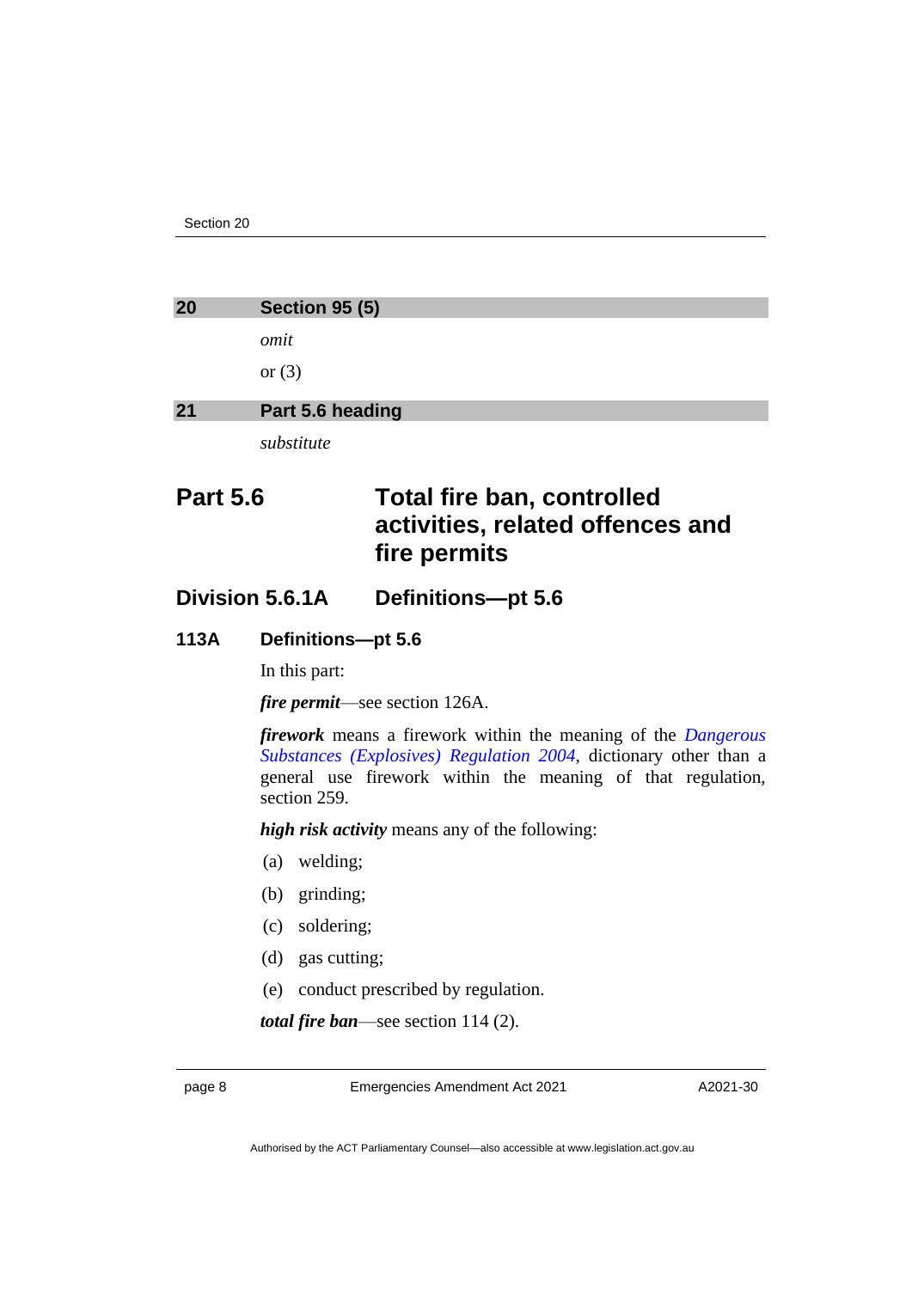<span id="page-11-1"></span><span id="page-11-0"></span>

| 20              | <b>Section 95 (5)</b> |                                                                                       |  |
|-----------------|-----------------------|---------------------------------------------------------------------------------------|--|
|                 | omit                  |                                                                                       |  |
|                 | or $(3)$              |                                                                                       |  |
| 21              | Part 5.6 heading      |                                                                                       |  |
|                 | substitute            |                                                                                       |  |
| <b>Part 5.6</b> |                       | <b>Total fire ban, controlled</b><br>activities, related offences and<br>fire permits |  |

**Division 5.6.1A Definitions—pt 5.6**

#### **113A Definitions—pt 5.6**

In this part:

*fire permit*—see section 126A.

*firework* means a firework within the meaning of the *[Dangerous](http://www.legislation.act.gov.au/sl/2004-10)  [Substances \(Explosives\) Regulation 2004](http://www.legislation.act.gov.au/sl/2004-10)*, dictionary other than a general use firework within the meaning of that regulation, section 259.

*high risk activity* means any of the following:

- (a) welding;
- (b) grinding;
- (c) soldering;
- (d) gas cutting;
- (e) conduct prescribed by regulation.

*total fire ban*—see section 114 (2).

page 8 Emergencies Amendment Act 2021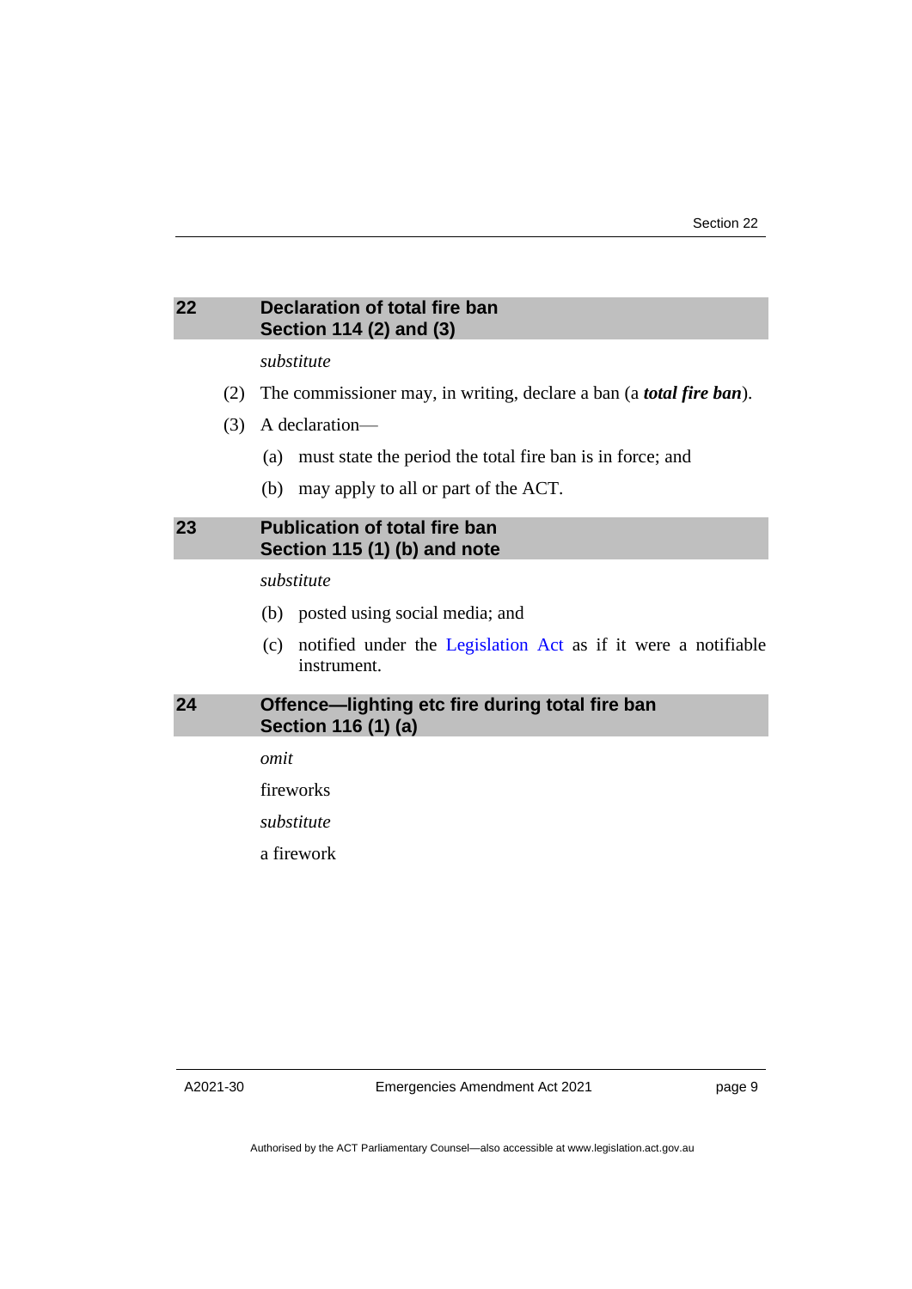#### <span id="page-12-0"></span>**22 Declaration of total fire ban Section 114 (2) and (3)**

#### *substitute*

- (2) The commissioner may, in writing, declare a ban (a *total fire ban*).
- (3) A declaration—
	- (a) must state the period the total fire ban is in force; and
	- (b) may apply to all or part of the ACT.

#### <span id="page-12-1"></span>**23 Publication of total fire ban Section 115 (1) (b) and note**

#### *substitute*

- (b) posted using social media; and
- (c) notified under the [Legislation Act](http://www.legislation.act.gov.au/a/2001-14) as if it were a notifiable instrument.

#### <span id="page-12-2"></span>**24 Offence—lighting etc fire during total fire ban Section 116 (1) (a)**

*omit*

fireworks

*substitute*

a firework

A2021-30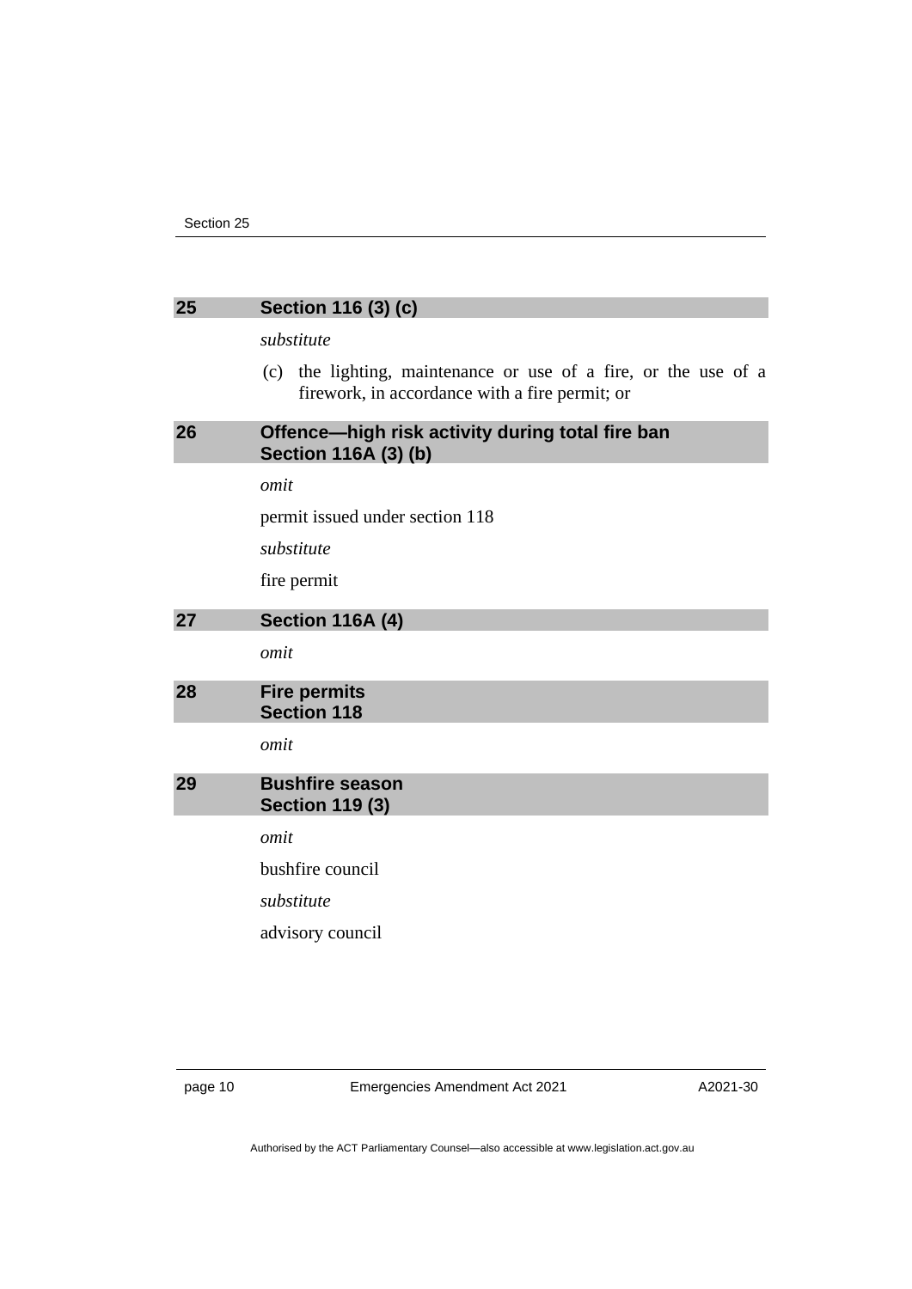#### <span id="page-13-0"></span>**25 Section 116 (3) (c)**

#### *substitute*

(c) the lighting, maintenance or use of a fire, or the use of a firework, in accordance with a fire permit; or

#### <span id="page-13-1"></span>**26 Offence—high risk activity during total fire ban Section 116A (3) (b)**

*omit*

permit issued under section 118

*substitute*

fire permit

#### <span id="page-13-2"></span>**27 Section 116A (4)**

*omit*

<span id="page-13-3"></span>

| 28 | <b>Fire permits</b> |
|----|---------------------|
|    | <b>Section 118</b>  |
|    |                     |

*omit*

#### <span id="page-13-4"></span>**29 Bushfire season Section 119 (3)**

*omit*

bushfire council

*substitute*

advisory council

page 10 Emergencies Amendment Act 2021

A2021-30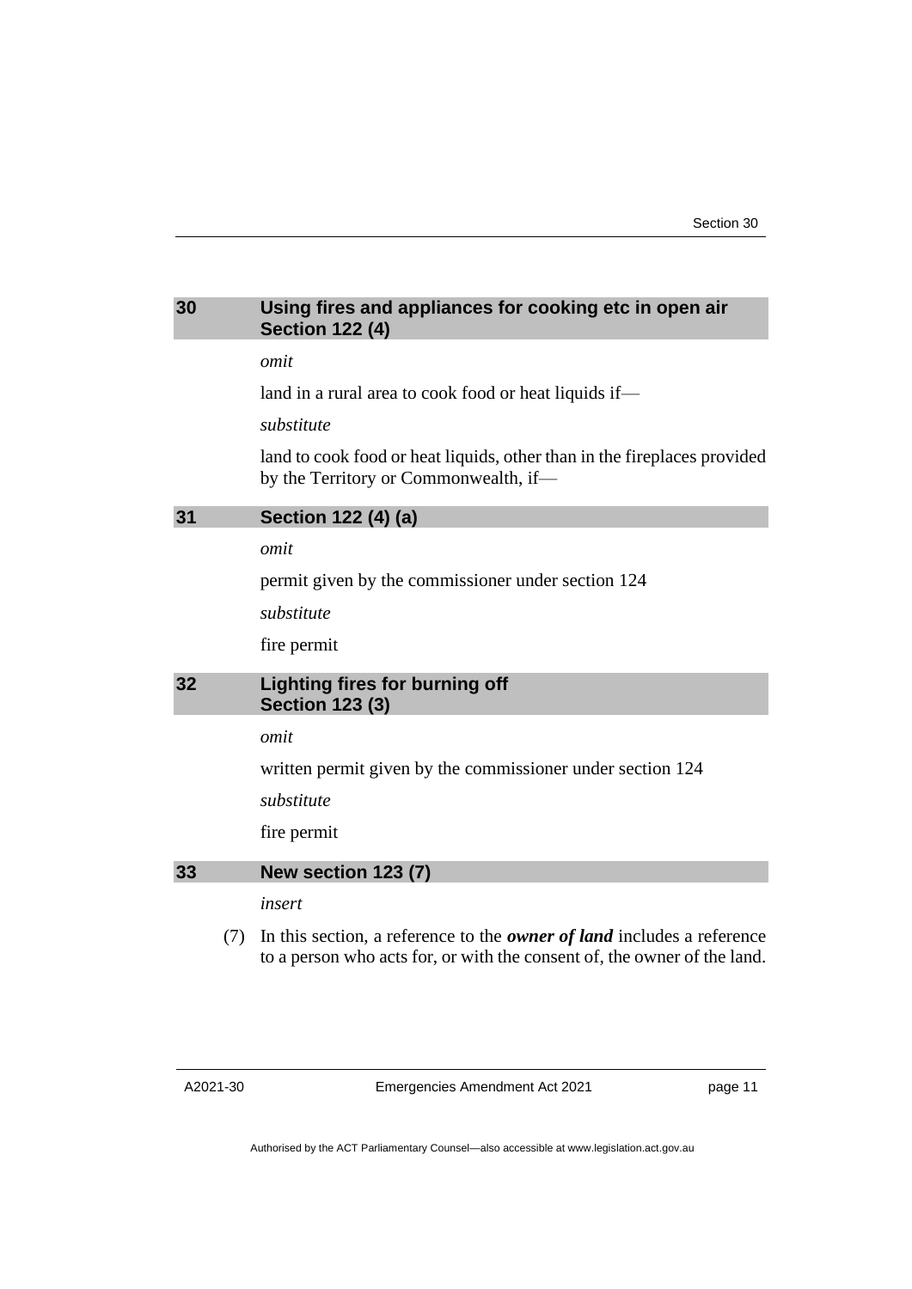#### <span id="page-14-0"></span>**30 Using fires and appliances for cooking etc in open air Section 122 (4)**

*omit*

land in a rural area to cook food or heat liquids if—

*substitute*

land to cook food or heat liquids, other than in the fireplaces provided by the Territory or Commonwealth, if—

<span id="page-14-1"></span>**31 Section 122 (4) (a)**

*omit*

permit given by the commissioner under section 124

*substitute*

fire permit

#### <span id="page-14-2"></span>**32 Lighting fires for burning off Section 123 (3)**

*omit*

written permit given by the commissioner under section 124

*substitute*

fire permit

#### <span id="page-14-3"></span>**33 New section 123 (7)**

*insert*

(7) In this section, a reference to the *owner of land* includes a reference to a person who acts for, or with the consent of, the owner of the land.

A2021-30

Emergencies Amendment Act 2021

page 11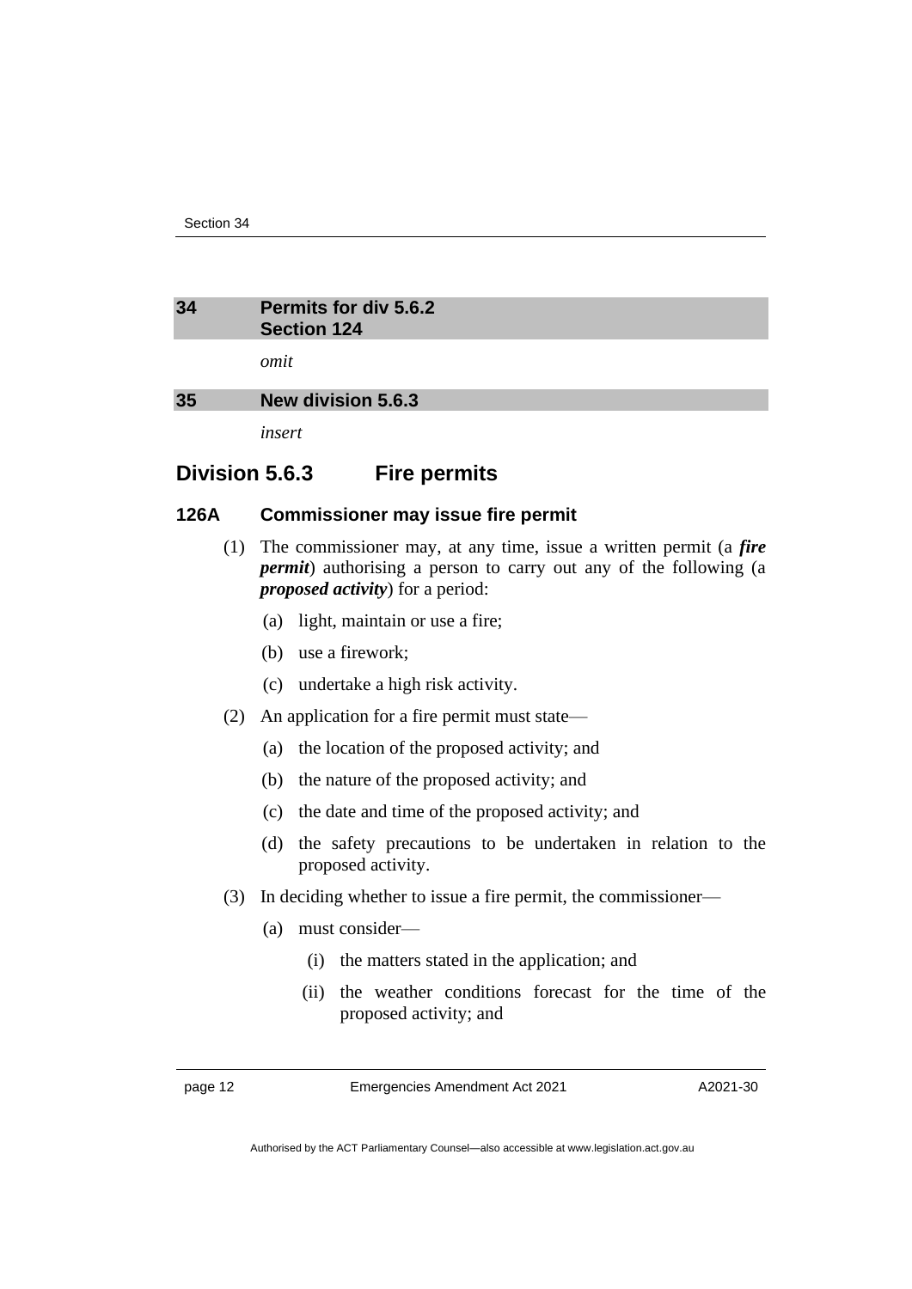#### <span id="page-15-0"></span>**34 Permits for div 5.6.2 Section 124**

*omit*

#### <span id="page-15-1"></span>**35 New division 5.6.3**

*insert*

### **Division 5.6.3 Fire permits**

#### **126A Commissioner may issue fire permit**

- (1) The commissioner may, at any time, issue a written permit (a *fire permit*) authorising a person to carry out any of the following (a *proposed activity*) for a period:
	- (a) light, maintain or use a fire;
	- (b) use a firework;
	- (c) undertake a high risk activity.
- (2) An application for a fire permit must state—
	- (a) the location of the proposed activity; and
	- (b) the nature of the proposed activity; and
	- (c) the date and time of the proposed activity; and
	- (d) the safety precautions to be undertaken in relation to the proposed activity.
- (3) In deciding whether to issue a fire permit, the commissioner—
	- (a) must consider—
		- (i) the matters stated in the application; and
		- (ii) the weather conditions forecast for the time of the proposed activity; and

page 12 Emergencies Amendment Act 2021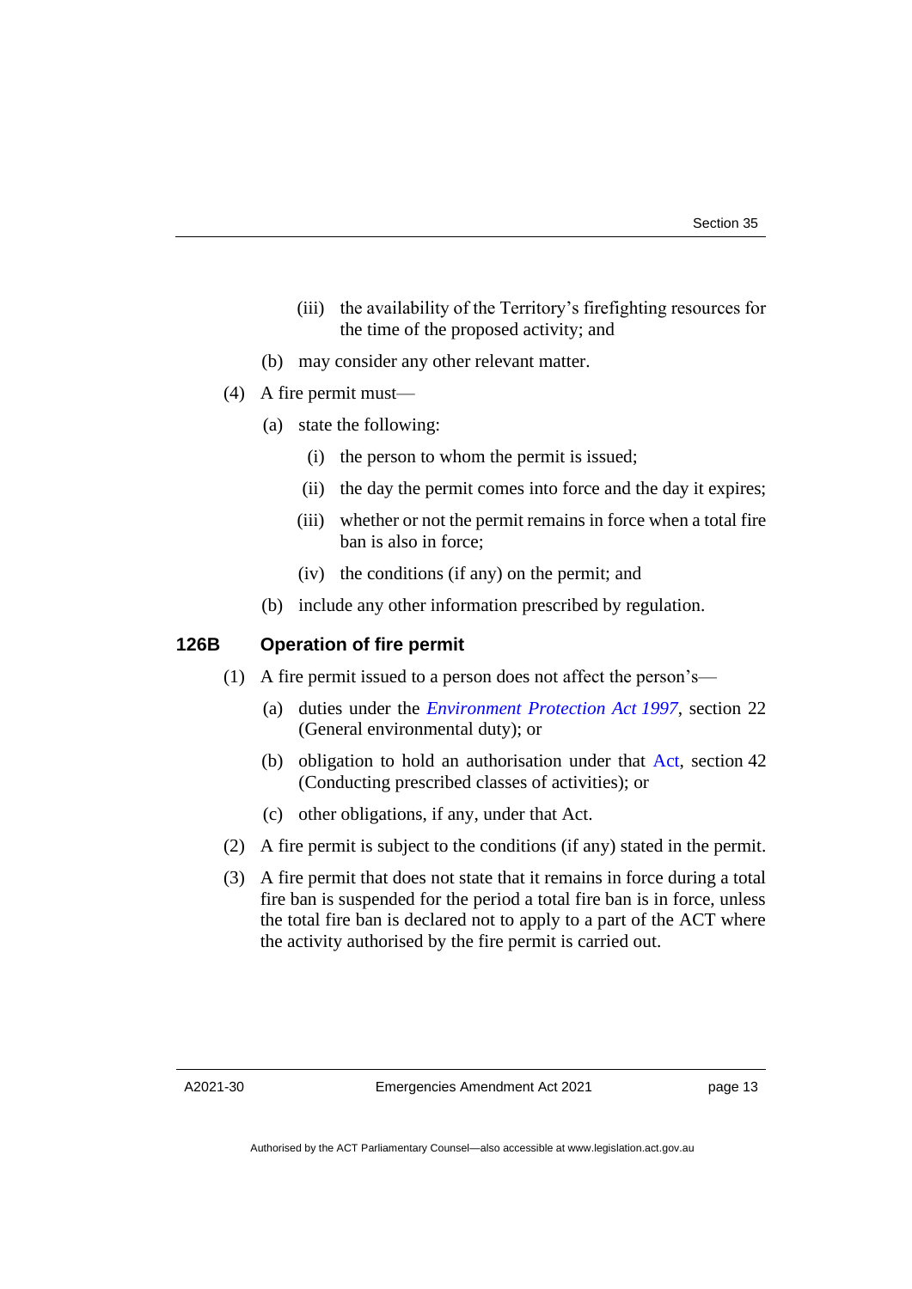- (iii) the availability of the Territory's firefighting resources for the time of the proposed activity; and
- (b) may consider any other relevant matter.
- (4) A fire permit must—
	- (a) state the following:
		- (i) the person to whom the permit is issued;
		- (ii) the day the permit comes into force and the day it expires;
		- (iii) whether or not the permit remains in force when a total fire ban is also in force;
		- (iv) the conditions (if any) on the permit; and
	- (b) include any other information prescribed by regulation.

#### **126B Operation of fire permit**

- (1) A fire permit issued to a person does not affect the person's—
	- (a) duties under the *[Environment Protection Act](http://www.legislation.act.gov.au/a/1997-92) 1997*, section 22 (General environmental duty); or
	- (b) obligation to hold an authorisation under that [Act,](https://www.legislation.act.gov.au/a/1997-92) section 42 (Conducting prescribed classes of activities); or
	- (c) other obligations, if any, under that Act.
- (2) A fire permit is subject to the conditions (if any) stated in the permit.
- (3) A fire permit that does not state that it remains in force during a total fire ban is suspended for the period a total fire ban is in force, unless the total fire ban is declared not to apply to a part of the ACT where the activity authorised by the fire permit is carried out.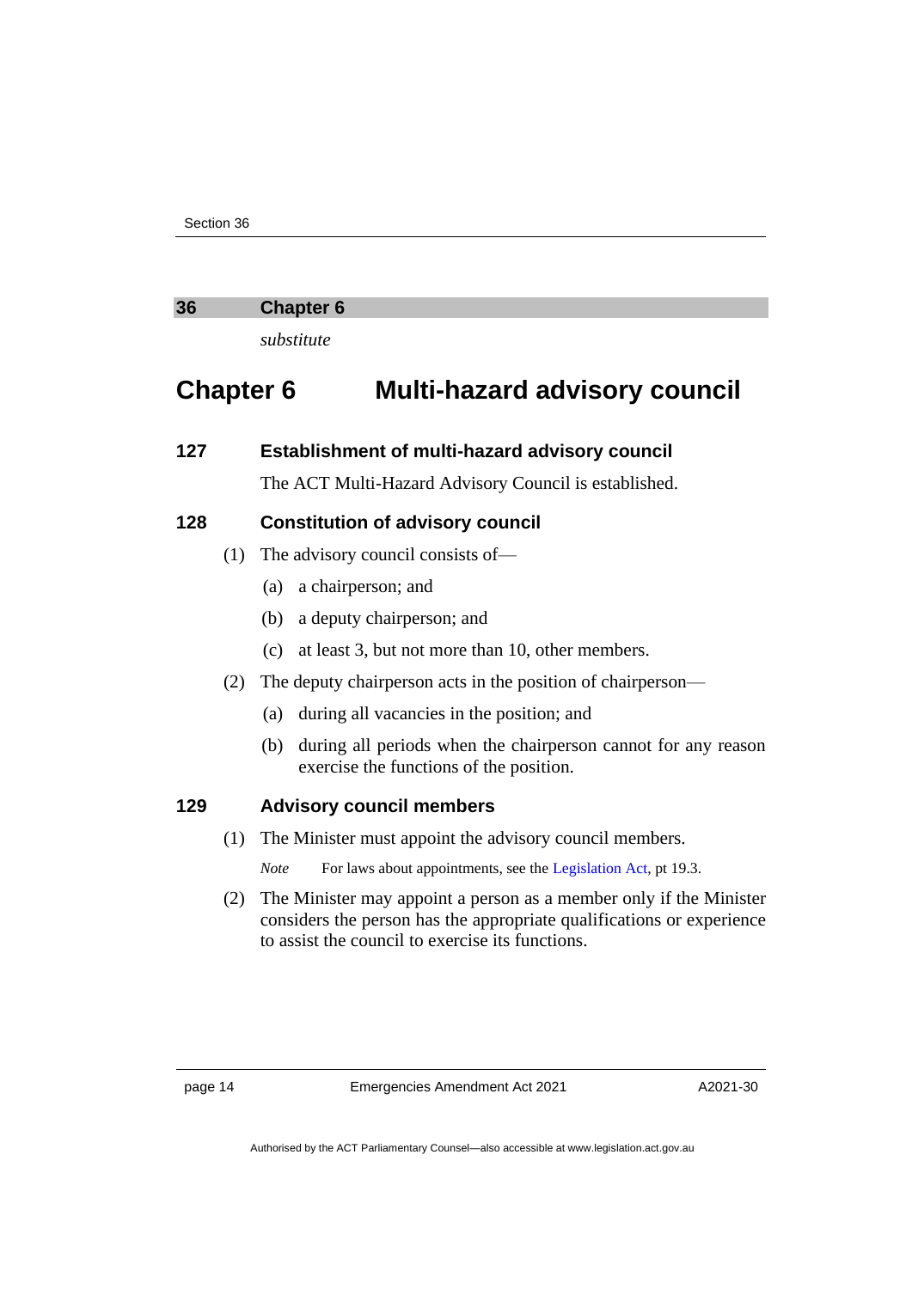#### <span id="page-17-0"></span>**36 Chapter 6**

*substitute*

### **Chapter 6 Multi-hazard advisory council**

#### **127 Establishment of multi-hazard advisory council**

The ACT Multi-Hazard Advisory Council is established.

#### **128 Constitution of advisory council**

- (1) The advisory council consists of—
	- (a) a chairperson; and
	- (b) a deputy chairperson; and
	- (c) at least 3, but not more than 10, other members.
- (2) The deputy chairperson acts in the position of chairperson—
	- (a) during all vacancies in the position; and
	- (b) during all periods when the chairperson cannot for any reason exercise the functions of the position.

#### **129 Advisory council members**

(1) The Minister must appoint the advisory council members.

*Note* For laws about appointments, see the [Legislation Act,](http://www.legislation.act.gov.au/a/2001-14) pt 19.3.

(2) The Minister may appoint a person as a member only if the Minister considers the person has the appropriate qualifications or experience to assist the council to exercise its functions.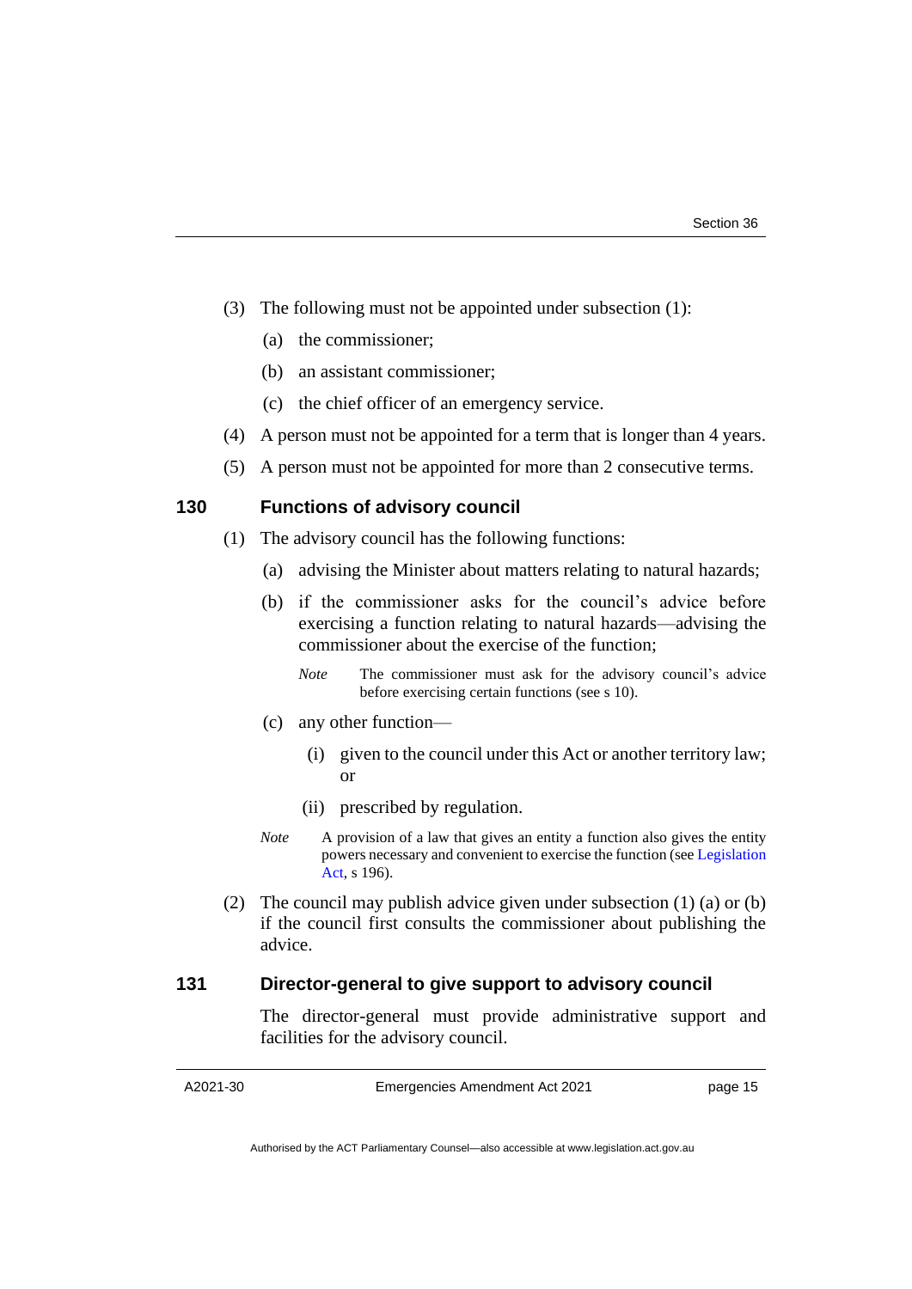- (3) The following must not be appointed under subsection (1):
	- (a) the commissioner;
	- (b) an assistant commissioner;
	- (c) the chief officer of an emergency service.
- (4) A person must not be appointed for a term that is longer than 4 years.
- (5) A person must not be appointed for more than 2 consecutive terms.

#### **130 Functions of advisory council**

- (1) The advisory council has the following functions:
	- (a) advising the Minister about matters relating to natural hazards;
	- (b) if the commissioner asks for the council's advice before exercising a function relating to natural hazards—advising the commissioner about the exercise of the function;
		- *Note* The commissioner must ask for the advisory council's advice before exercising certain functions (see s 10).
	- (c) any other function—
		- (i) given to the council under this Act or another territory law; or
		- (ii) prescribed by regulation.
	- *Note* A provision of a law that gives an entity a function also gives the entity powers necessary and convenient to exercise the function (se[e Legislation](http://www.legislation.act.gov.au/a/2001-14)  [Act,](http://www.legislation.act.gov.au/a/2001-14) s 196).
- (2) The council may publish advice given under subsection (1) (a) or (b) if the council first consults the commissioner about publishing the advice.

#### **131 Director-general to give support to advisory council**

The director-general must provide administrative support and facilities for the advisory council.

Emergencies Amendment Act 2021

page 15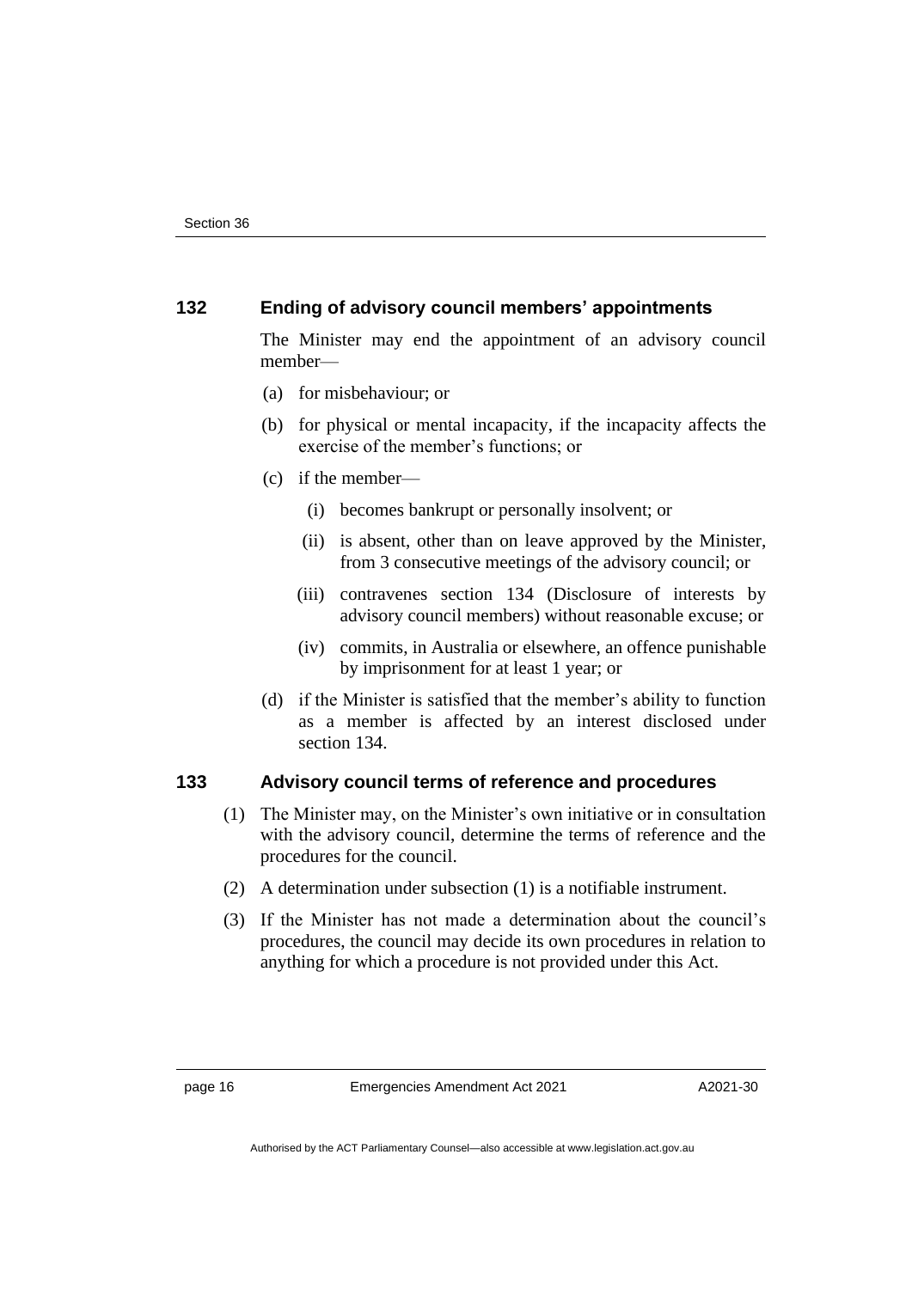#### **132 Ending of advisory council members' appointments**

The Minister may end the appointment of an advisory council member—

- (a) for misbehaviour; or
- (b) for physical or mental incapacity, if the incapacity affects the exercise of the member's functions; or
- (c) if the member—
	- (i) becomes bankrupt or personally insolvent; or
	- (ii) is absent, other than on leave approved by the Minister, from 3 consecutive meetings of the advisory council; or
	- (iii) contravenes section 134 (Disclosure of interests by advisory council members) without reasonable excuse; or
	- (iv) commits, in Australia or elsewhere, an offence punishable by imprisonment for at least 1 year; or
- (d) if the Minister is satisfied that the member's ability to function as a member is affected by an interest disclosed under section 134.

#### **133 Advisory council terms of reference and procedures**

- (1) The Minister may, on the Minister's own initiative or in consultation with the advisory council, determine the terms of reference and the procedures for the council.
- (2) A determination under subsection (1) is a notifiable instrument.
- (3) If the Minister has not made a determination about the council's procedures, the council may decide its own procedures in relation to anything for which a procedure is not provided under this Act.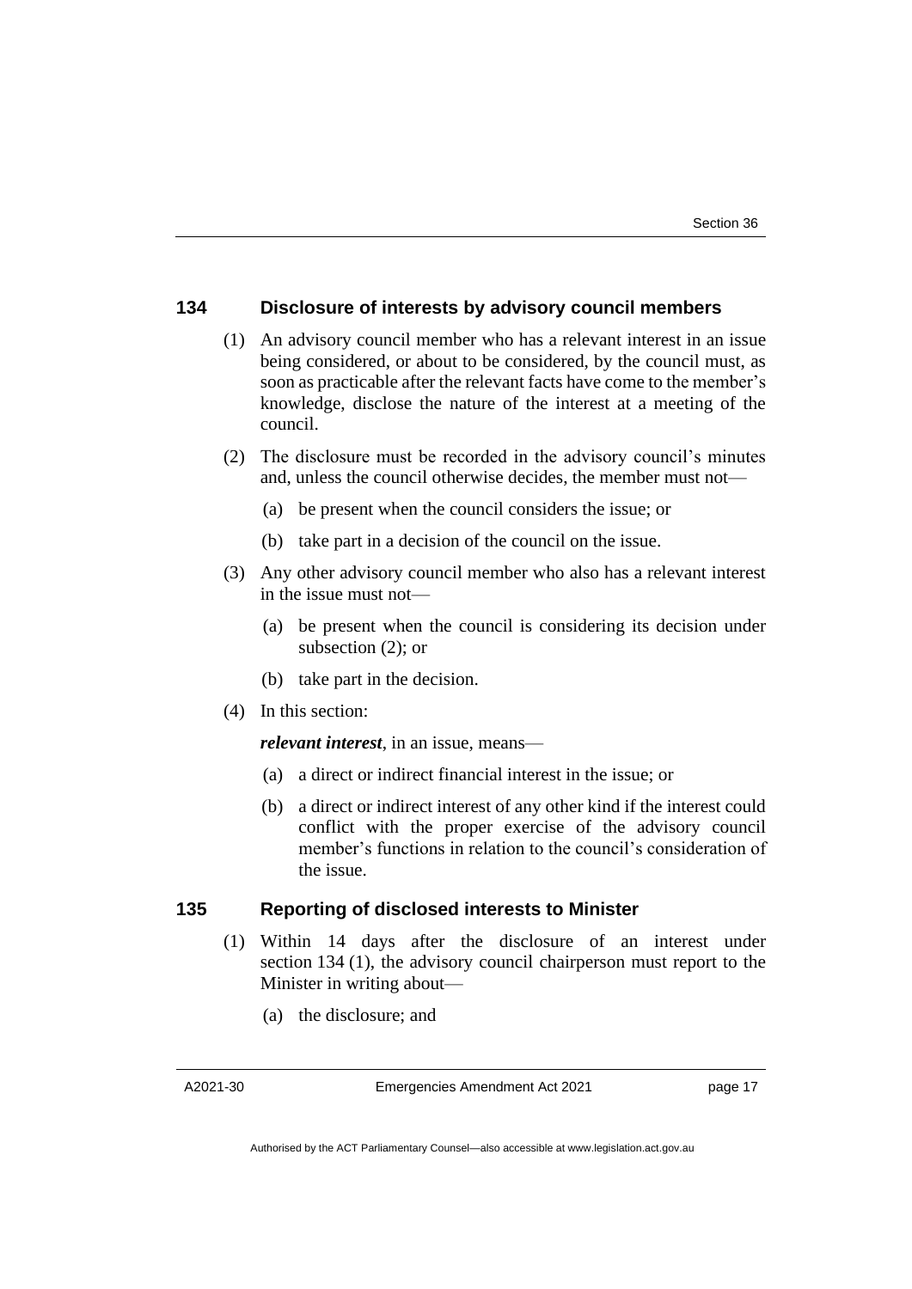#### **134 Disclosure of interests by advisory council members**

- (1) An advisory council member who has a relevant interest in an issue being considered, or about to be considered, by the council must, as soon as practicable after the relevant facts have come to the member's knowledge, disclose the nature of the interest at a meeting of the council.
- (2) The disclosure must be recorded in the advisory council's minutes and, unless the council otherwise decides, the member must not—
	- (a) be present when the council considers the issue; or
	- (b) take part in a decision of the council on the issue.
- (3) Any other advisory council member who also has a relevant interest in the issue must not—
	- (a) be present when the council is considering its decision under subsection (2); or
	- (b) take part in the decision.
- (4) In this section:

*relevant interest*, in an issue, means—

- (a) a direct or indirect financial interest in the issue; or
- (b) a direct or indirect interest of any other kind if the interest could conflict with the proper exercise of the advisory council member's functions in relation to the council's consideration of the issue.

#### **135 Reporting of disclosed interests to Minister**

- (1) Within 14 days after the disclosure of an interest under section 134 (1), the advisory council chairperson must report to the Minister in writing about—
	- (a) the disclosure; and

A2021-30

Emergencies Amendment Act 2021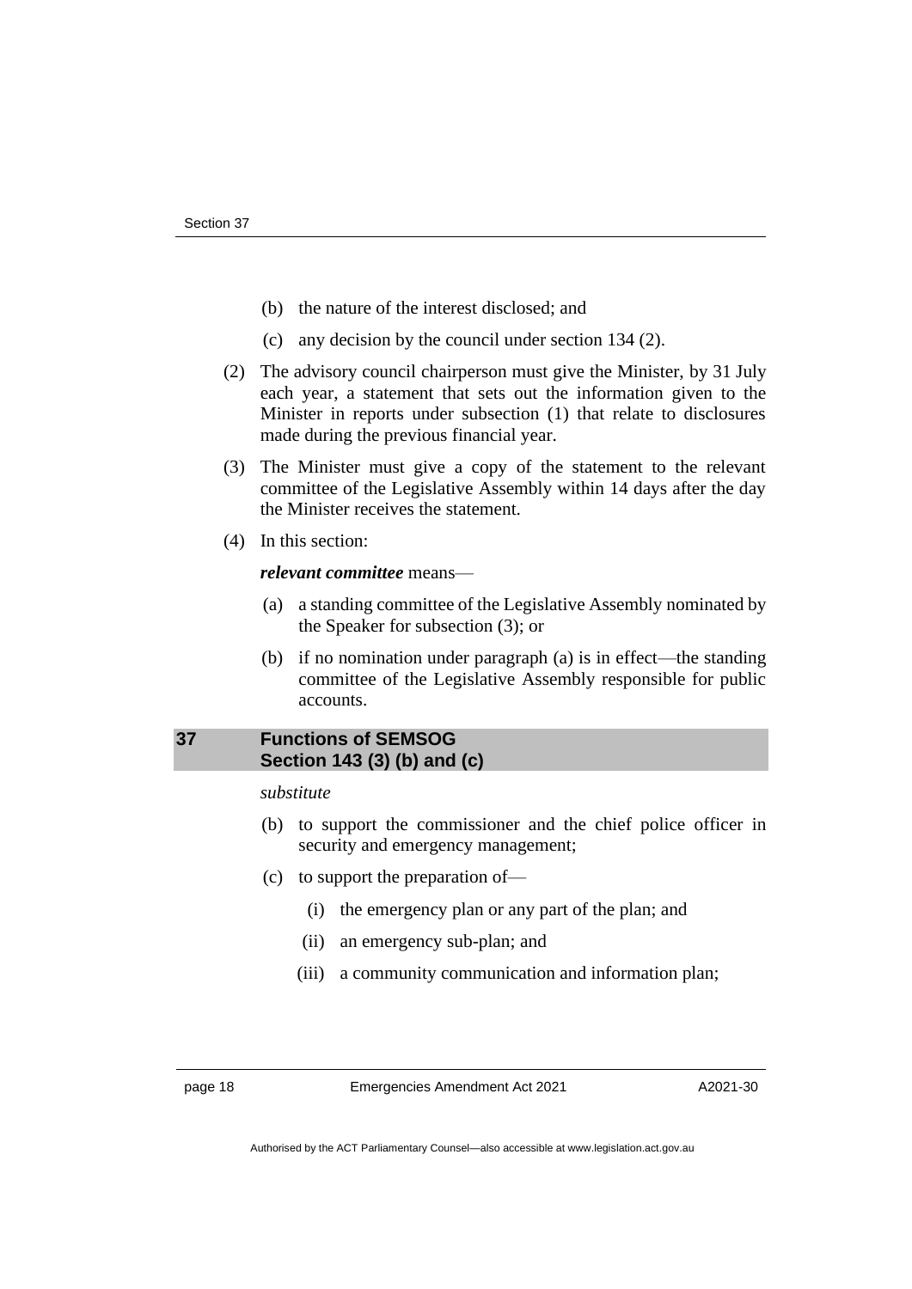- (b) the nature of the interest disclosed; and
- (c) any decision by the council under section 134 (2).
- (2) The advisory council chairperson must give the Minister, by 31 July each year, a statement that sets out the information given to the Minister in reports under subsection (1) that relate to disclosures made during the previous financial year.
- (3) The Minister must give a copy of the statement to the relevant committee of the Legislative Assembly within 14 days after the day the Minister receives the statement.
- (4) In this section:

#### *relevant committee* means—

- (a) a standing committee of the Legislative Assembly nominated by the Speaker for subsection (3); or
- (b) if no nomination under paragraph (a) is in effect—the standing committee of the Legislative Assembly responsible for public accounts.

#### <span id="page-21-0"></span>**37 Functions of SEMSOG Section 143 (3) (b) and (c)**

#### *substitute*

- (b) to support the commissioner and the chief police officer in security and emergency management;
- (c) to support the preparation of—
	- (i) the emergency plan or any part of the plan; and
	- (ii) an emergency sub-plan; and
	- (iii) a community communication and information plan;

page 18 Emergencies Amendment Act 2021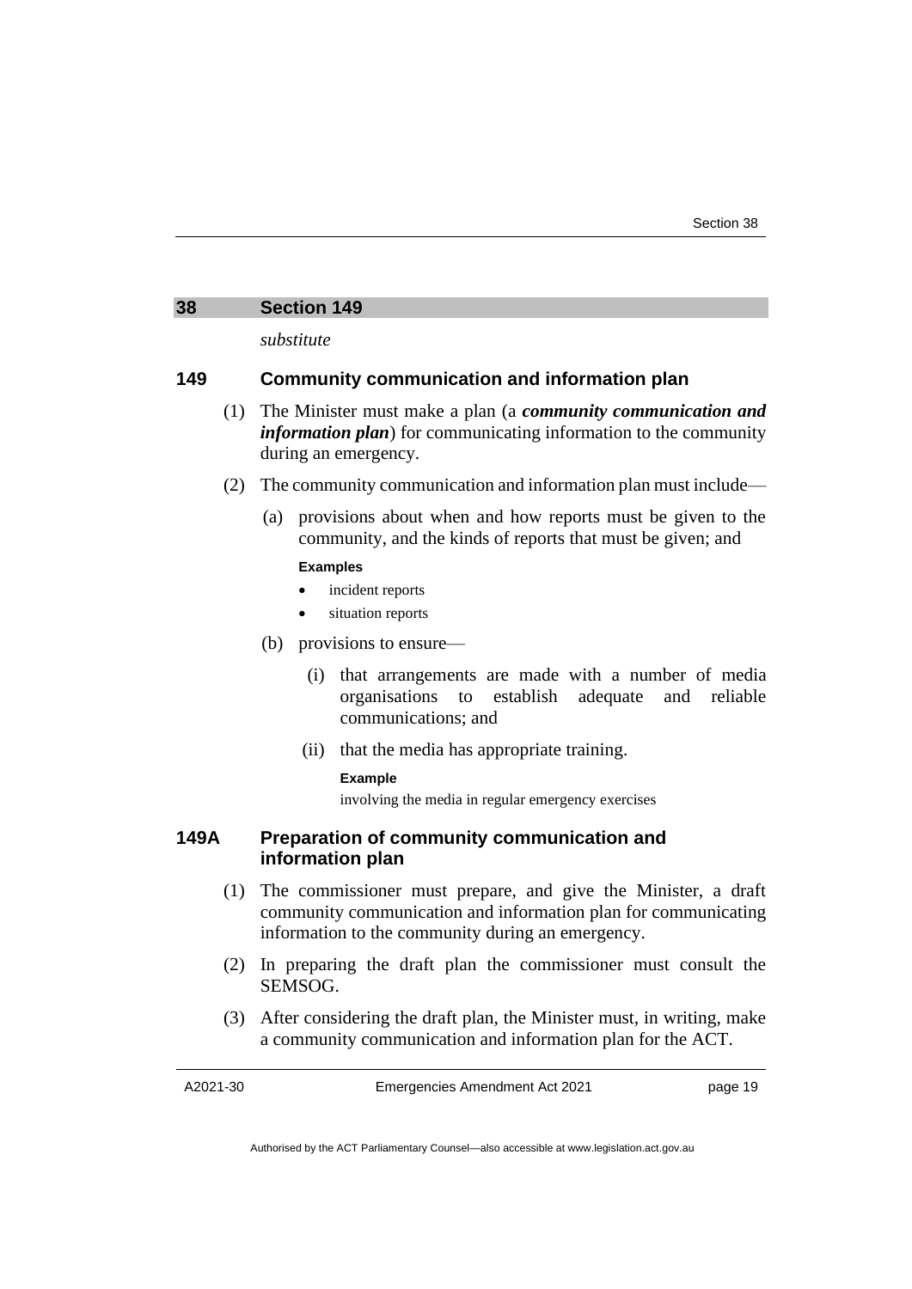#### <span id="page-22-0"></span>**38 Section 149**

*substitute*

#### **149 Community communication and information plan**

- (1) The Minister must make a plan (a *community communication and information plan*) for communicating information to the community during an emergency.
- (2) The community communication and information plan must include—
	- (a) provisions about when and how reports must be given to the community, and the kinds of reports that must be given; and

#### **Examples**

- incident reports
- situation reports
- (b) provisions to ensure—
	- (i) that arrangements are made with a number of media organisations to establish adequate and reliable communications; and
	- (ii) that the media has appropriate training.

#### **Example**

involving the media in regular emergency exercises

#### **149A Preparation of community communication and information plan**

- (1) The commissioner must prepare, and give the Minister, a draft community communication and information plan for communicating information to the community during an emergency.
- (2) In preparing the draft plan the commissioner must consult the SEMSOG.
- (3) After considering the draft plan, the Minister must, in writing, make a community communication and information plan for the ACT.

Emergencies Amendment Act 2021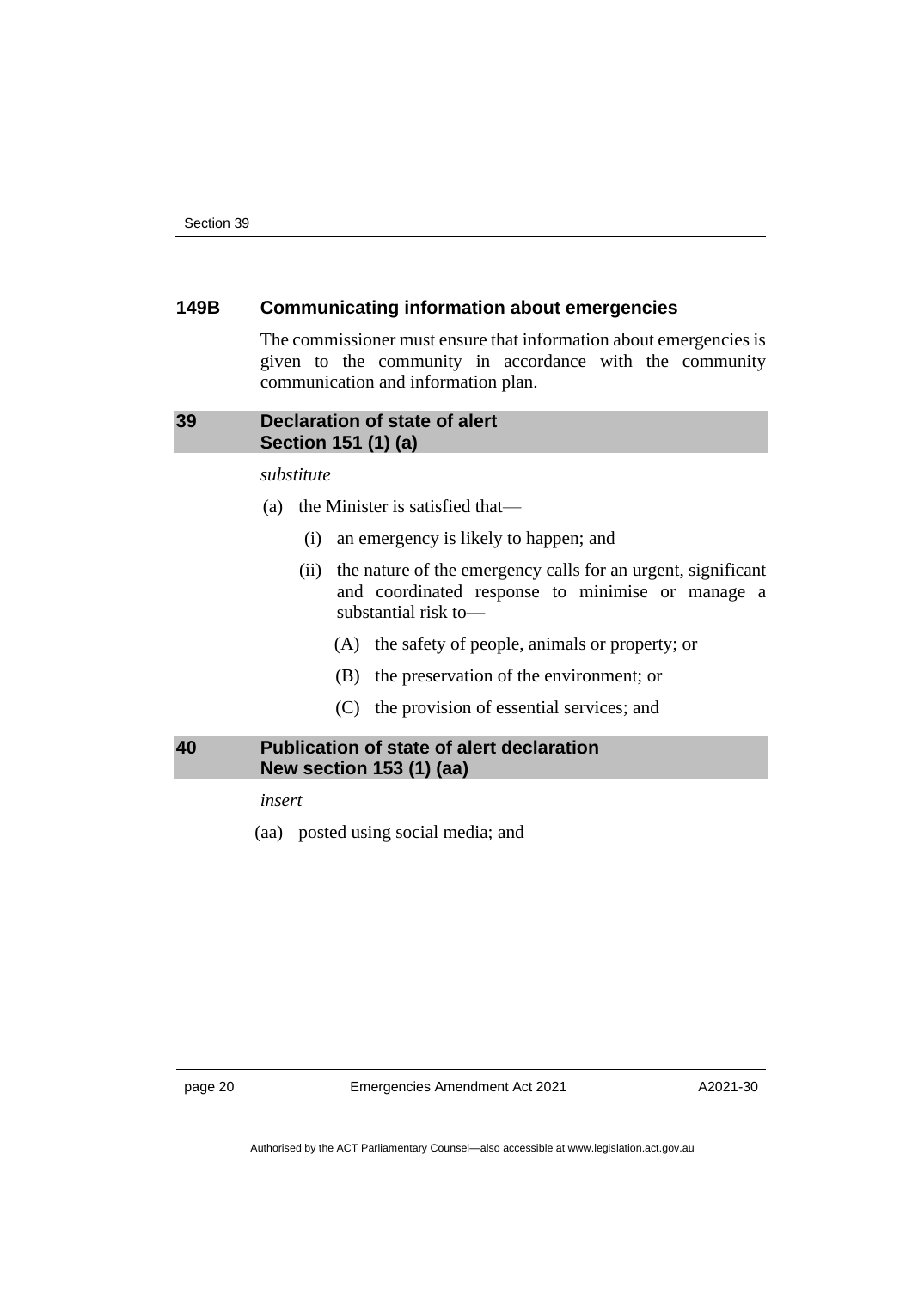#### **149B Communicating information about emergencies**

The commissioner must ensure that information about emergencies is given to the community in accordance with the community communication and information plan.

#### <span id="page-23-0"></span>**39 Declaration of state of alert Section 151 (1) (a)**

*substitute*

- (a) the Minister is satisfied that—
	- (i) an emergency is likely to happen; and
	- (ii) the nature of the emergency calls for an urgent, significant and coordinated response to minimise or manage a substantial risk to—
		- (A) the safety of people, animals or property; or
		- (B) the preservation of the environment; or
		- (C) the provision of essential services; and

#### <span id="page-23-1"></span>**40 Publication of state of alert declaration New section 153 (1) (aa)**

*insert*

(aa) posted using social media; and

page 20 Emergencies Amendment Act 2021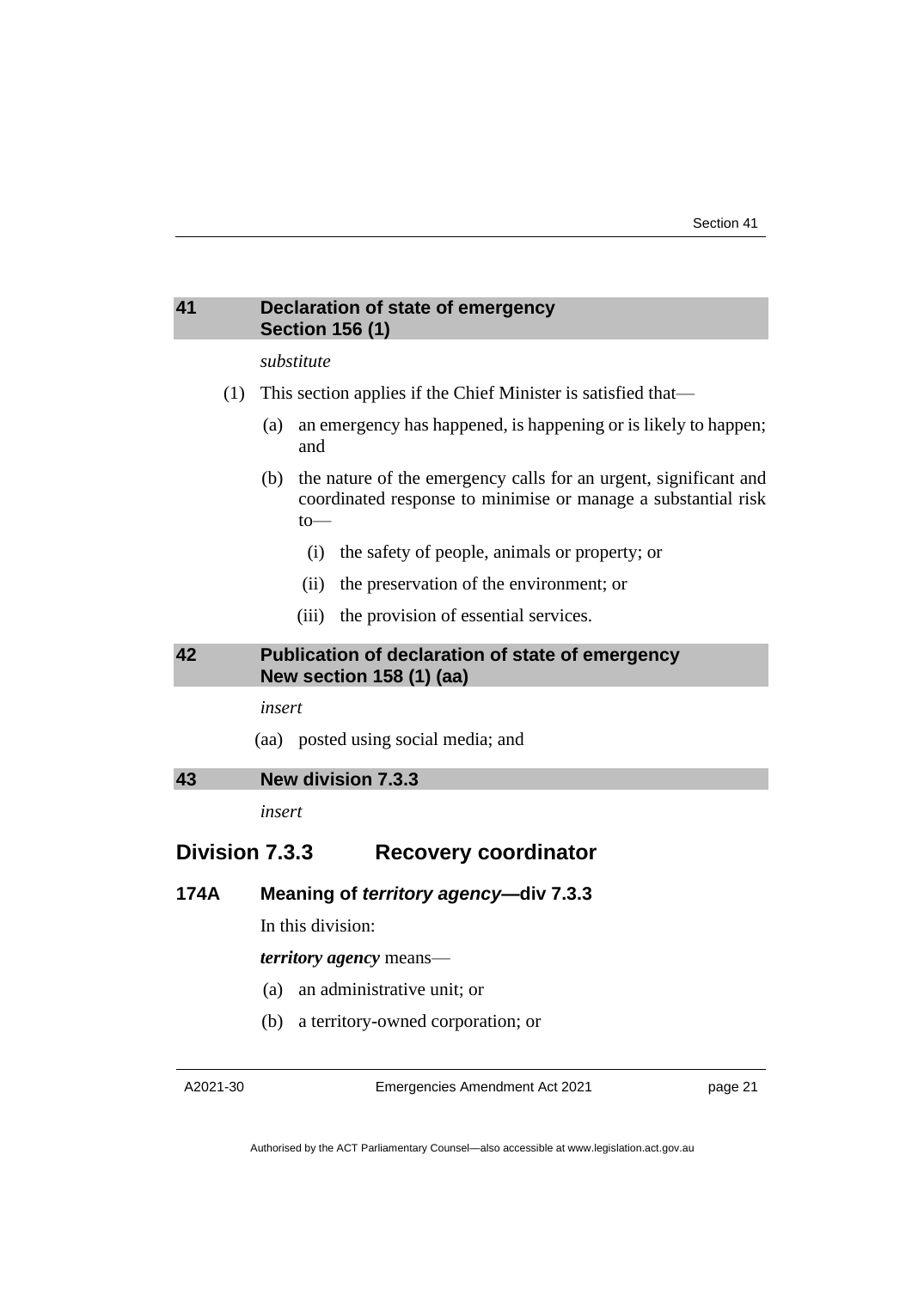#### <span id="page-24-0"></span>**41 Declaration of state of emergency Section 156 (1)**

#### *substitute*

- (1) This section applies if the Chief Minister is satisfied that—
	- (a) an emergency has happened, is happening or is likely to happen; and
	- (b) the nature of the emergency calls for an urgent, significant and coordinated response to minimise or manage a substantial risk to—
		- (i) the safety of people, animals or property; or
		- (ii) the preservation of the environment; or
		- (iii) the provision of essential services.

#### <span id="page-24-1"></span>**42 Publication of declaration of state of emergency New section 158 (1) (aa)**

*insert*

(aa) posted using social media; and

<span id="page-24-2"></span>**43 New division 7.3.3**

*insert*

#### **Division 7.3.3 Recovery coordinator**

#### **174A Meaning of** *territory agency***—div 7.3.3**

In this division:

*territory agency* means—

- (a) an administrative unit; or
- (b) a territory-owned corporation; or

A2021-30

Emergencies Amendment Act 2021

page 21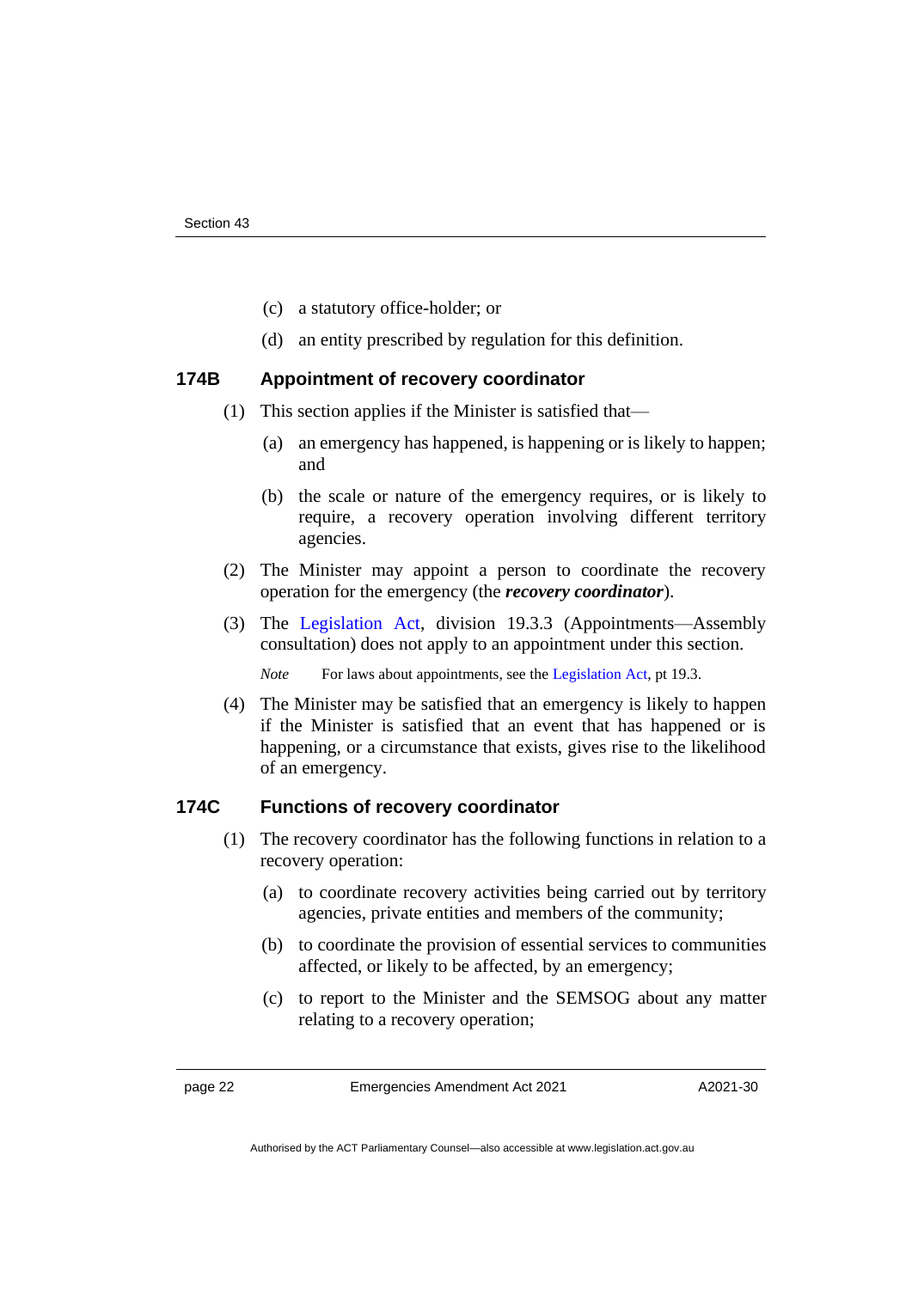- (c) a statutory office-holder; or
- (d) an entity prescribed by regulation for this definition.

#### **174B Appointment of recovery coordinator**

- (1) This section applies if the Minister is satisfied that—
	- (a) an emergency has happened, is happening or is likely to happen; and
	- (b) the scale or nature of the emergency requires, or is likely to require, a recovery operation involving different territory agencies.
- (2) The Minister may appoint a person to coordinate the recovery operation for the emergency (the *recovery coordinator*).
- (3) The [Legislation Act,](http://www.legislation.act.gov.au/a/2001-14) division 19.3.3 (Appointments—Assembly consultation) does not apply to an appointment under this section.

*Note* For laws about appointments, see the [Legislation Act,](http://www.legislation.act.gov.au/a/2001-14) pt 19.3.

(4) The Minister may be satisfied that an emergency is likely to happen if the Minister is satisfied that an event that has happened or is happening, or a circumstance that exists, gives rise to the likelihood of an emergency.

#### **174C Functions of recovery coordinator**

- (1) The recovery coordinator has the following functions in relation to a recovery operation:
	- (a) to coordinate recovery activities being carried out by territory agencies, private entities and members of the community;
	- (b) to coordinate the provision of essential services to communities affected, or likely to be affected, by an emergency;
	- (c) to report to the Minister and the SEMSOG about any matter relating to a recovery operation;

page 22 Emergencies Amendment Act 2021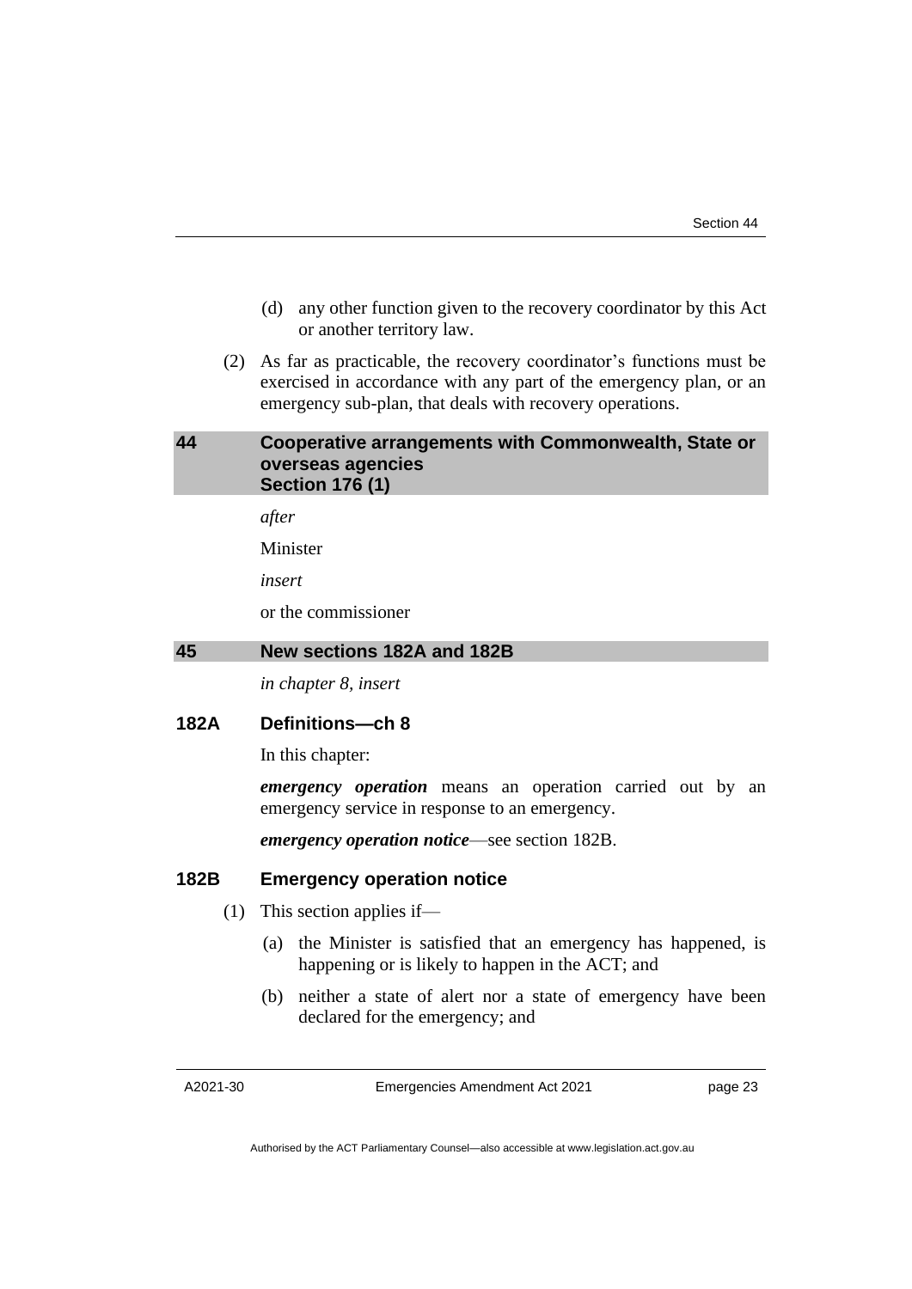- (d) any other function given to the recovery coordinator by this Act or another territory law.
- (2) As far as practicable, the recovery coordinator's functions must be exercised in accordance with any part of the emergency plan, or an emergency sub-plan, that deals with recovery operations.

#### <span id="page-26-0"></span>**44 Cooperative arrangements with Commonwealth, State or overseas agencies Section 176 (1)**

*after*

Minister

*insert*

or the commissioner

#### <span id="page-26-1"></span>**45 New sections 182A and 182B**

*in chapter 8, insert*

#### **182A Definitions—ch 8**

In this chapter:

*emergency operation* means an operation carried out by an emergency service in response to an emergency.

*emergency operation notice*—see section 182B.

#### **182B Emergency operation notice**

- (1) This section applies if—
	- (a) the Minister is satisfied that an emergency has happened, is happening or is likely to happen in the ACT; and
	- (b) neither a state of alert nor a state of emergency have been declared for the emergency; and

A2021-30

Emergencies Amendment Act 2021

page 23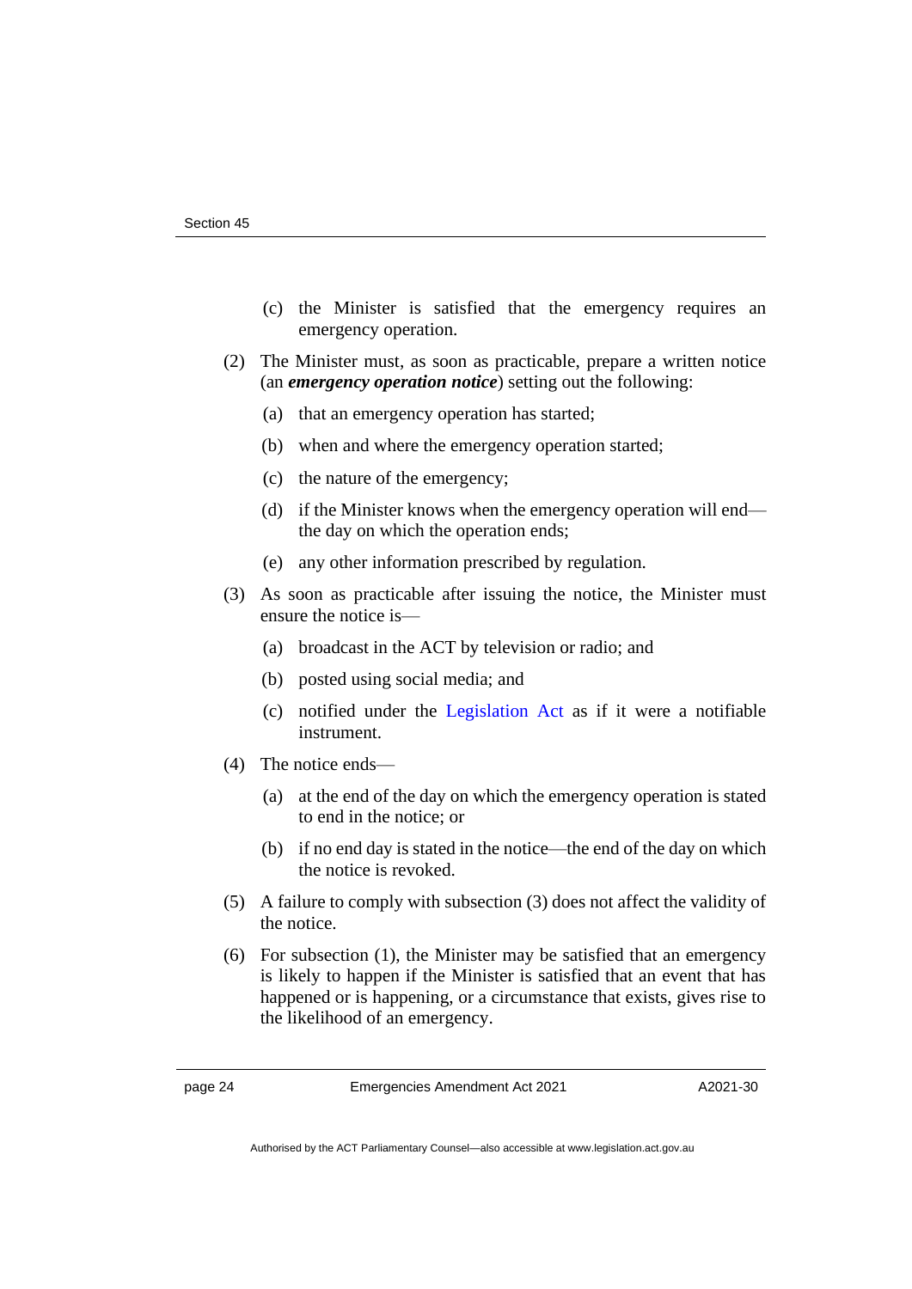- (c) the Minister is satisfied that the emergency requires an emergency operation.
- (2) The Minister must, as soon as practicable, prepare a written notice (an *emergency operation notice*) setting out the following:
	- (a) that an emergency operation has started;
	- (b) when and where the emergency operation started;
	- (c) the nature of the emergency;
	- (d) if the Minister knows when the emergency operation will end the day on which the operation ends;
	- (e) any other information prescribed by regulation.
- (3) As soon as practicable after issuing the notice, the Minister must ensure the notice is—
	- (a) broadcast in the ACT by television or radio; and
	- (b) posted using social media; and
	- (c) notified under the [Legislation Act](http://www.legislation.act.gov.au/a/2001-14) as if it were a notifiable instrument.
- (4) The notice ends—
	- (a) at the end of the day on which the emergency operation is stated to end in the notice; or
	- (b) if no end day is stated in the notice—the end of the day on which the notice is revoked.
- (5) A failure to comply with subsection (3) does not affect the validity of the notice.
- (6) For subsection (1), the Minister may be satisfied that an emergency is likely to happen if the Minister is satisfied that an event that has happened or is happening, or a circumstance that exists, gives rise to the likelihood of an emergency.

page 24 Emergencies Amendment Act 2021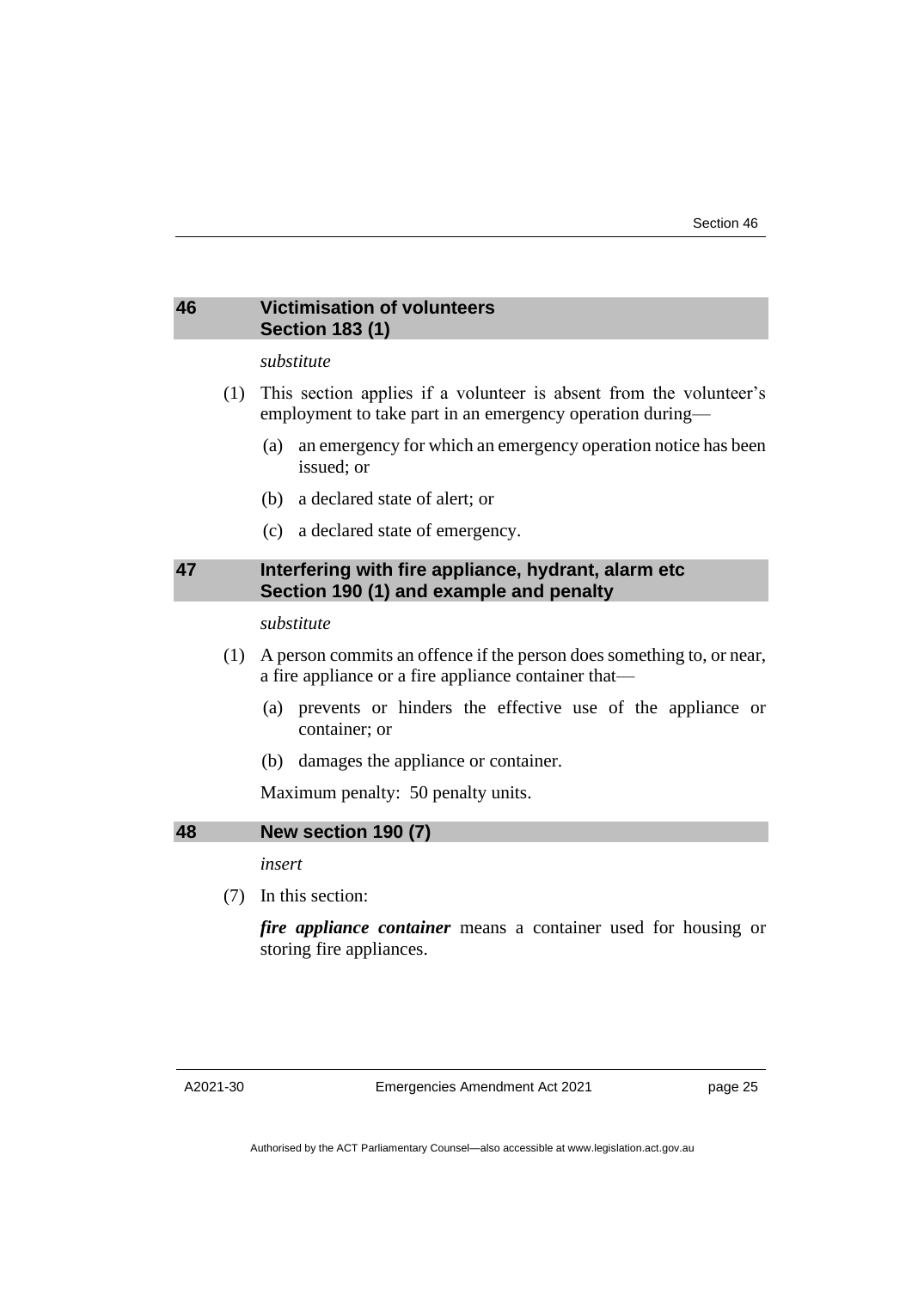#### <span id="page-28-0"></span>**46 Victimisation of volunteers Section 183 (1)**

#### *substitute*

- (1) This section applies if a volunteer is absent from the volunteer's employment to take part in an emergency operation during—
	- (a) an emergency for which an emergency operation notice has been issued; or
	- (b) a declared state of alert; or
	- (c) a declared state of emergency.

#### <span id="page-28-1"></span>**47 Interfering with fire appliance, hydrant, alarm etc Section 190 (1) and example and penalty**

*substitute*

- (1) A person commits an offence if the person does something to, or near, a fire appliance or a fire appliance container that—
	- (a) prevents or hinders the effective use of the appliance or container; or
	- (b) damages the appliance or container.

Maximum penalty: 50 penalty units.

<span id="page-28-2"></span>**48 New section 190 (7)**

*insert*

(7) In this section:

*fire appliance container* means a container used for housing or storing fire appliances.

Emergencies Amendment Act 2021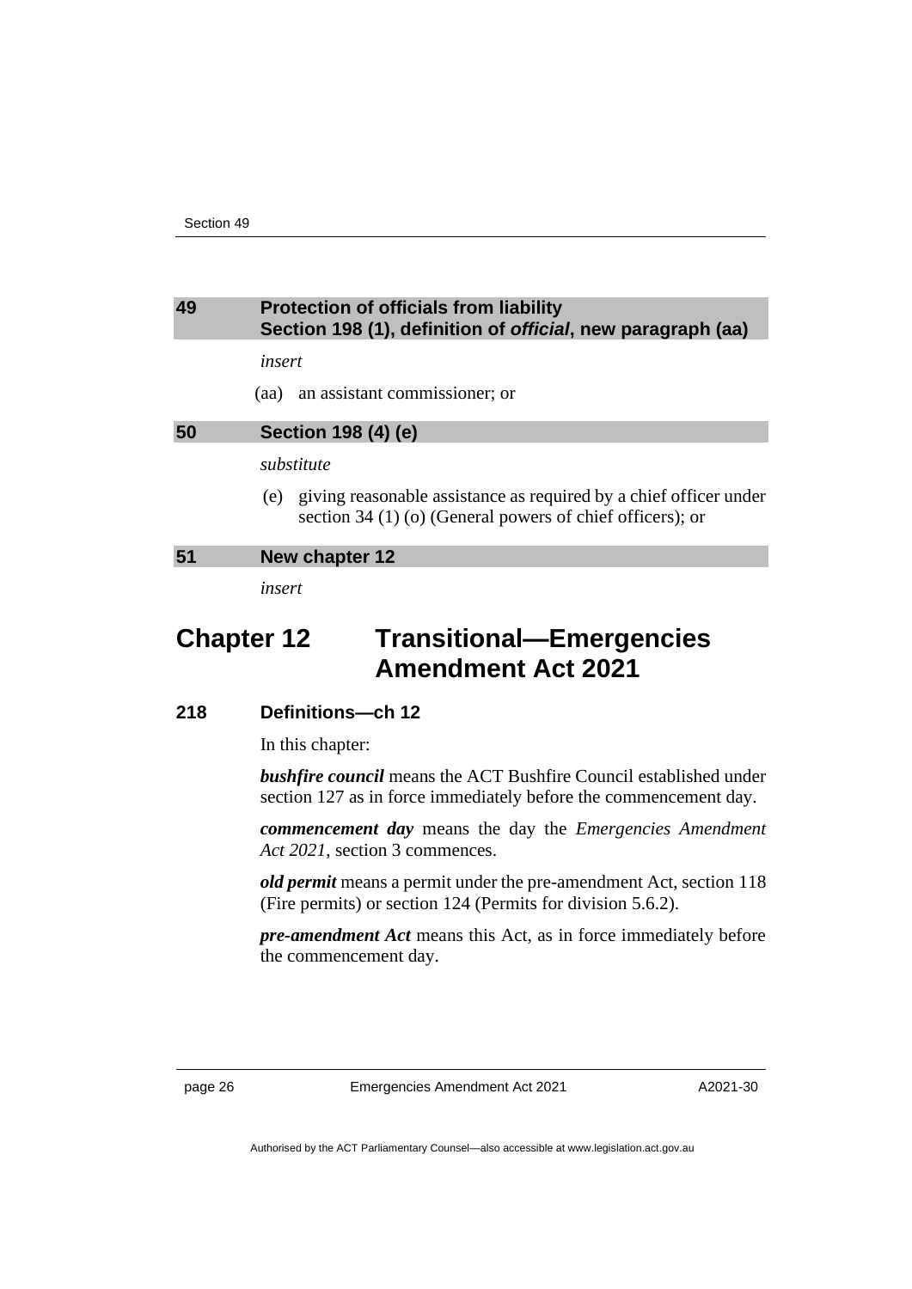#### <span id="page-29-0"></span>**49 Protection of officials from liability Section 198 (1), definition of** *official***, new paragraph (aa)**

*insert*

(aa) an assistant commissioner; or

#### <span id="page-29-1"></span>**50 Section 198 (4) (e)**

*substitute*

(e) giving reasonable assistance as required by a chief officer under section 34 (1) (o) (General powers of chief officers); or

#### <span id="page-29-2"></span>**51 New chapter 12**

*insert*

### **Chapter 12 Transitional—Emergencies Amendment Act 2021**

#### **218 Definitions—ch 12**

In this chapter:

*bushfire council* means the ACT Bushfire Council established under section 127 as in force immediately before the commencement day.

*commencement day* means the day the *Emergencies Amendment Act 2021*, section 3 commences.

*old permit* means a permit under the pre-amendment Act, section 118 (Fire permits) or section 124 (Permits for division 5.6.2).

*pre-amendment Act* means this Act, as in force immediately before the commencement day.

page 26 Emergencies Amendment Act 2021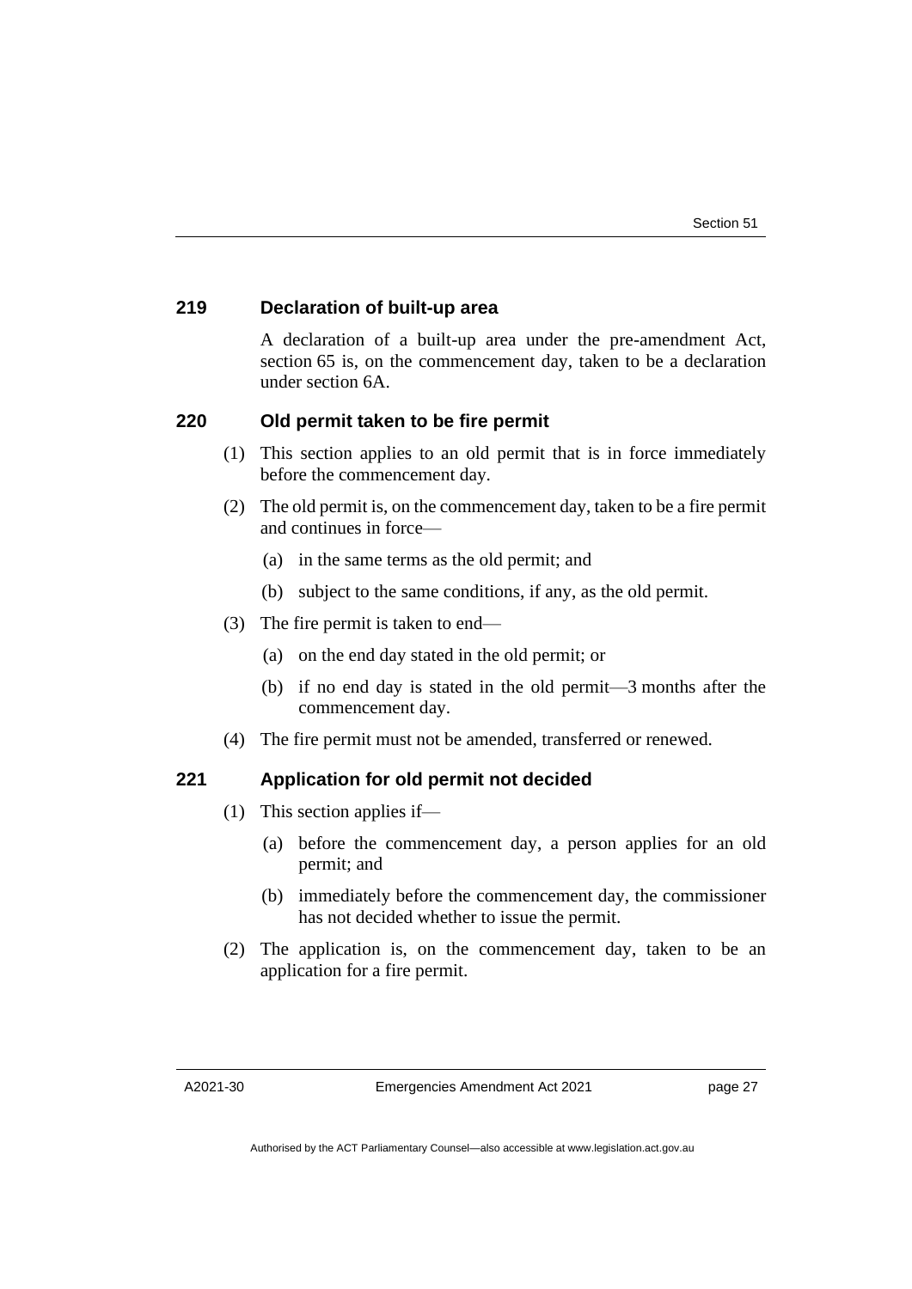#### **219 Declaration of built-up area**

A declaration of a built-up area under the pre-amendment Act, section 65 is, on the commencement day, taken to be a declaration under section 6A.

#### **220 Old permit taken to be fire permit**

- (1) This section applies to an old permit that is in force immediately before the commencement day.
- (2) The old permit is, on the commencement day, taken to be a fire permit and continues in force—
	- (a) in the same terms as the old permit; and
	- (b) subject to the same conditions, if any, as the old permit.
- (3) The fire permit is taken to end—
	- (a) on the end day stated in the old permit; or
	- (b) if no end day is stated in the old permit—3 months after the commencement day.
- (4) The fire permit must not be amended, transferred or renewed.

#### **221 Application for old permit not decided**

- (1) This section applies if—
	- (a) before the commencement day, a person applies for an old permit; and
	- (b) immediately before the commencement day, the commissioner has not decided whether to issue the permit.
- (2) The application is, on the commencement day, taken to be an application for a fire permit.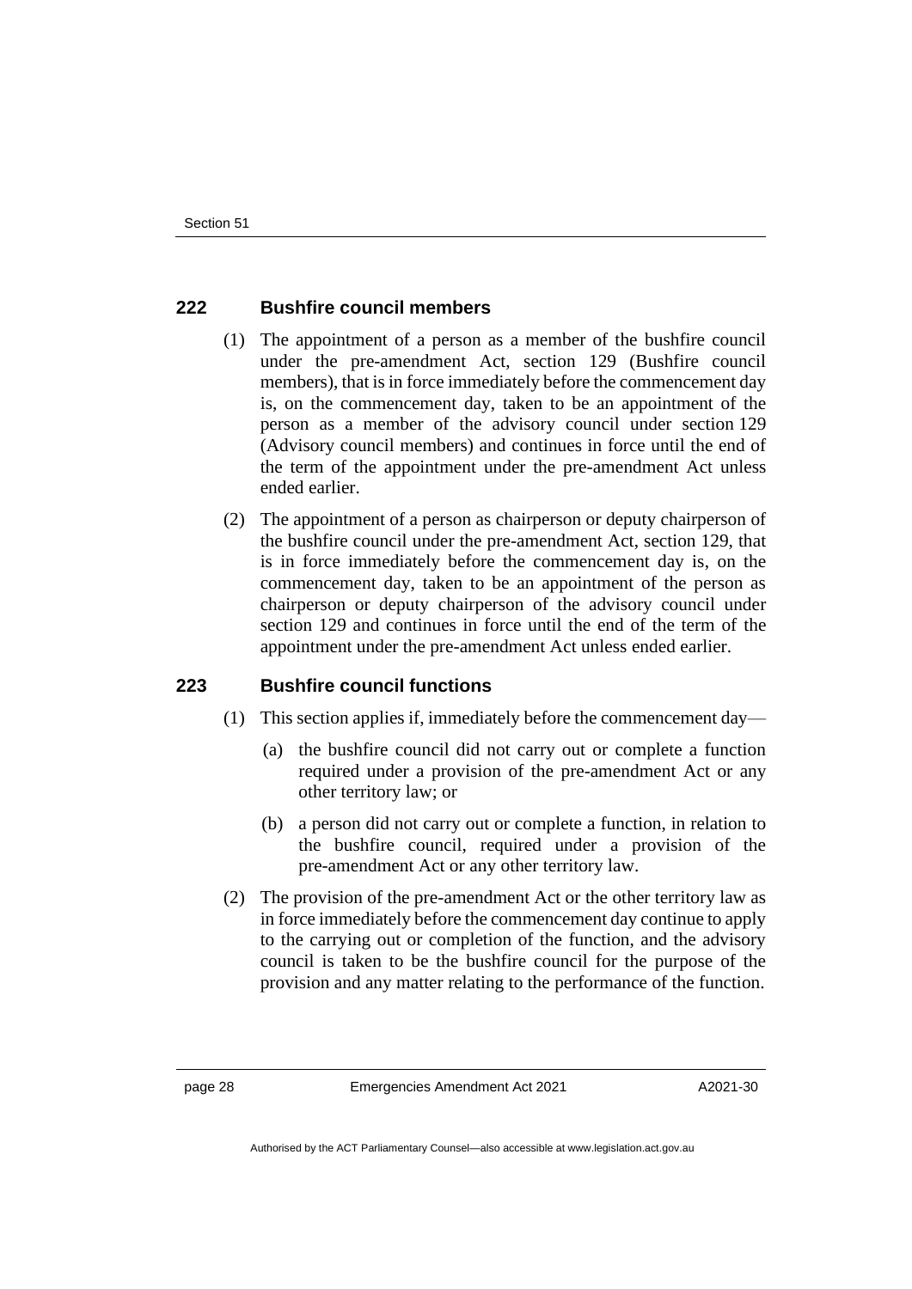#### **222 Bushfire council members**

- (1) The appointment of a person as a member of the bushfire council under the pre-amendment Act, section 129 (Bushfire council members), that is in force immediately before the commencement day is, on the commencement day, taken to be an appointment of the person as a member of the advisory council under section 129 (Advisory council members) and continues in force until the end of the term of the appointment under the pre-amendment Act unless ended earlier.
- (2) The appointment of a person as chairperson or deputy chairperson of the bushfire council under the pre-amendment Act, section 129, that is in force immediately before the commencement day is, on the commencement day, taken to be an appointment of the person as chairperson or deputy chairperson of the advisory council under section 129 and continues in force until the end of the term of the appointment under the pre-amendment Act unless ended earlier.

#### **223 Bushfire council functions**

- (1) This section applies if, immediately before the commencement day—
	- (a) the bushfire council did not carry out or complete a function required under a provision of the pre-amendment Act or any other territory law; or
	- (b) a person did not carry out or complete a function, in relation to the bushfire council, required under a provision of the pre-amendment Act or any other territory law.
- (2) The provision of the pre-amendment Act or the other territory law as in force immediately before the commencement day continue to apply to the carrying out or completion of the function, and the advisory council is taken to be the bushfire council for the purpose of the provision and any matter relating to the performance of the function.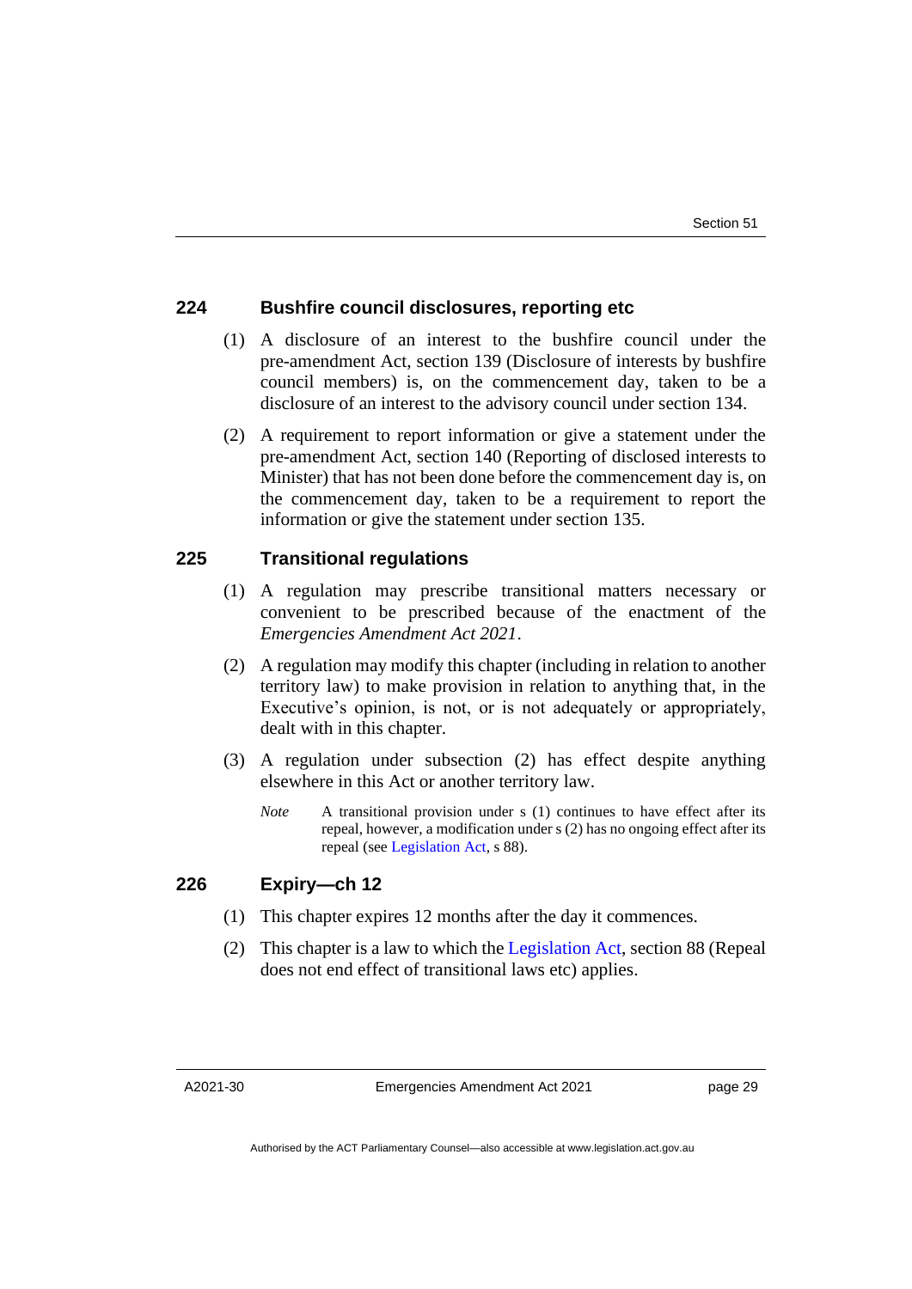#### **224 Bushfire council disclosures, reporting etc**

- (1) A disclosure of an interest to the bushfire council under the pre-amendment Act, section 139 (Disclosure of interests by bushfire council members) is, on the commencement day, taken to be a disclosure of an interest to the advisory council under section 134.
- (2) A requirement to report information or give a statement under the pre-amendment Act, section 140 (Reporting of disclosed interests to Minister) that has not been done before the commencement day is, on the commencement day, taken to be a requirement to report the information or give the statement under section 135.

#### **225 Transitional regulations**

- (1) A regulation may prescribe transitional matters necessary or convenient to be prescribed because of the enactment of the *Emergencies Amendment Act 2021*.
- (2) A regulation may modify this chapter (including in relation to another territory law) to make provision in relation to anything that, in the Executive's opinion, is not, or is not adequately or appropriately, dealt with in this chapter.
- (3) A regulation under subsection (2) has effect despite anything elsewhere in this Act or another territory law.
	- *Note* A transitional provision under s (1) continues to have effect after its repeal, however, a modification under s (2) has no ongoing effect after its repeal (se[e Legislation Act,](http://www.legislation.act.gov.au/a/2001-14) s 88).

#### **226 Expiry—ch 12**

- (1) This chapter expires 12 months after the day it commences.
- (2) This chapter is a law to which the [Legislation Act,](http://www.legislation.act.gov.au/a/2001-14) section 88 (Repeal does not end effect of transitional laws etc) applies.

A2021-30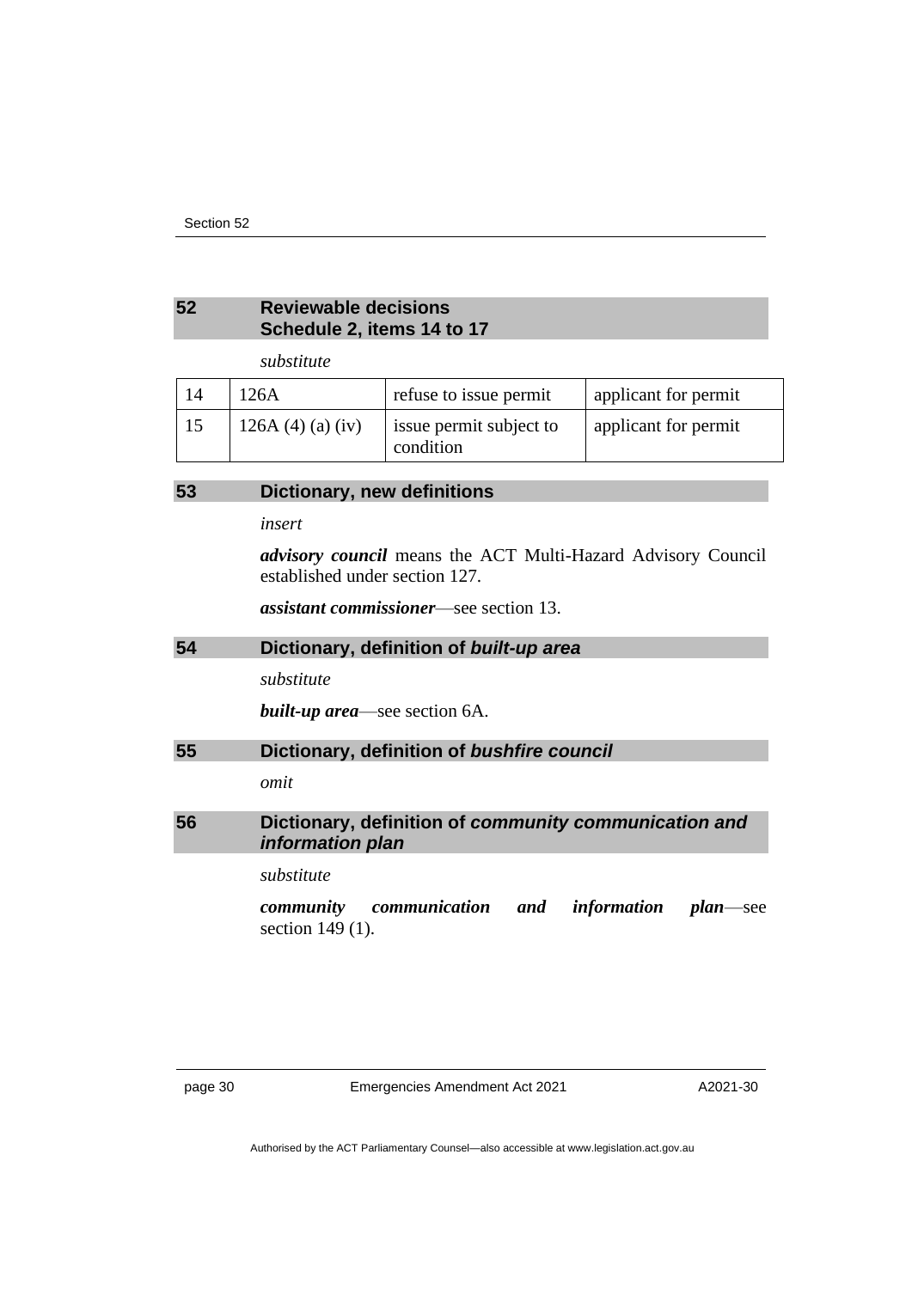#### <span id="page-33-0"></span>**52 Reviewable decisions Schedule 2, items 14 to 17**

*substitute*

| 14 | 126A                    | refuse to issue permit               | applicant for permit |
|----|-------------------------|--------------------------------------|----------------------|
| 15 | 126A $(4)$ $(a)$ $(iv)$ | issue permit subject to<br>condition | applicant for permit |

#### <span id="page-33-1"></span>**53 Dictionary, new definitions**

*insert*

*advisory council* means the ACT Multi-Hazard Advisory Council established under section 127.

*assistant commissioner*—see section 13.

#### <span id="page-33-2"></span>**54 Dictionary, definition of** *built-up area*

*substitute*

*built-up area*—see section 6A.

#### <span id="page-33-3"></span>**55 Dictionary, definition of** *bushfire council*

*omit*

#### <span id="page-33-4"></span>**56 Dictionary, definition of** *community communication and information plan*

*substitute*

*community communication and information plan*—see section 149 (1).

page 30 Emergencies Amendment Act 2021

A2021-30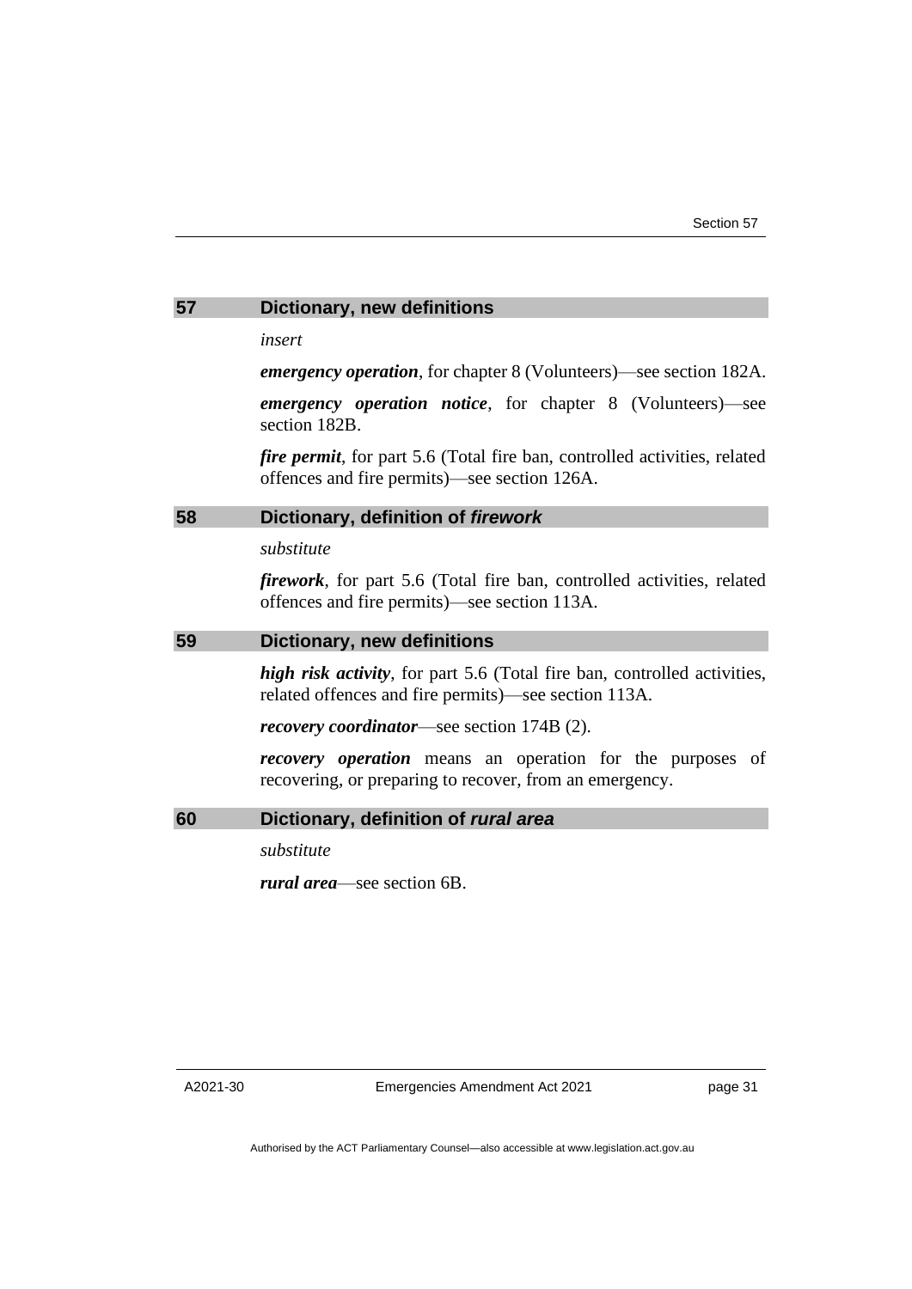#### <span id="page-34-0"></span>**57 Dictionary, new definitions**

*insert*

*emergency operation*, for chapter 8 (Volunteers)—see section 182A.

*emergency operation notice*, for chapter 8 (Volunteers)—see section 182B.

*fire permit*, for part 5.6 (Total fire ban, controlled activities, related offences and fire permits)—see section 126A.

#### <span id="page-34-1"></span>**58 Dictionary, definition of** *firework*

*substitute*

*firework*, for part 5.6 (Total fire ban, controlled activities, related offences and fire permits)—see section 113A.

#### <span id="page-34-2"></span>**59 Dictionary, new definitions**

*high risk activity*, for part 5.6 (Total fire ban, controlled activities, related offences and fire permits)—see section 113A.

*recovery coordinator*—see section 174B (2).

*recovery operation* means an operation for the purposes of recovering, or preparing to recover, from an emergency.

#### <span id="page-34-3"></span>**60 Dictionary, definition of** *rural area*

*substitute*

*rural area*—see section 6B.

A2021-30

Emergencies Amendment Act 2021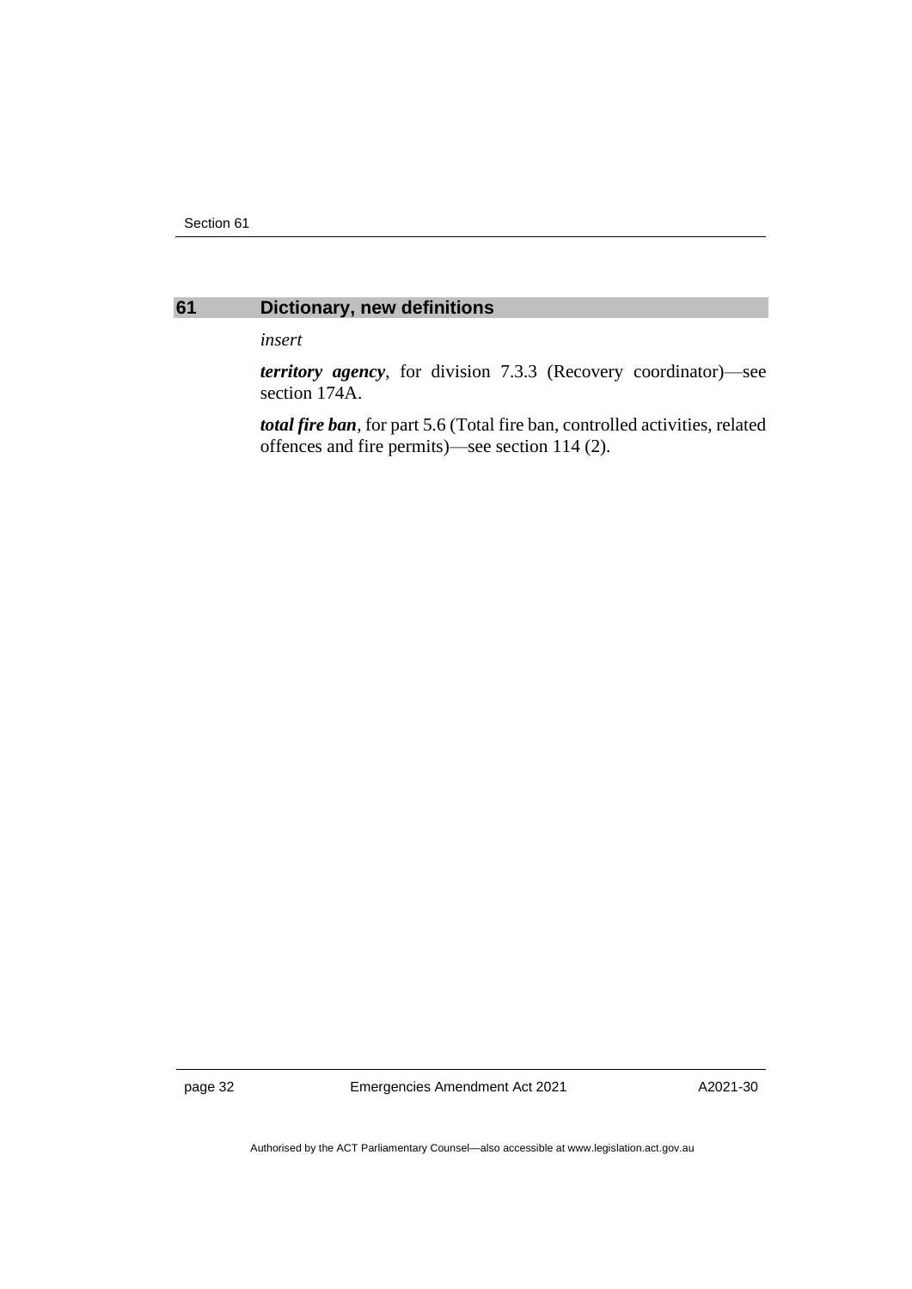

#### <span id="page-35-0"></span>**61 Dictionary, new definitions**

*insert*

*territory agency*, for division 7.3.3 (Recovery coordinator)—see section 174A.

*total fire ban*, for part 5.6 (Total fire ban, controlled activities, related offences and fire permits)—see section 114 (2).

page 32 Emergencies Amendment Act 2021

A2021-30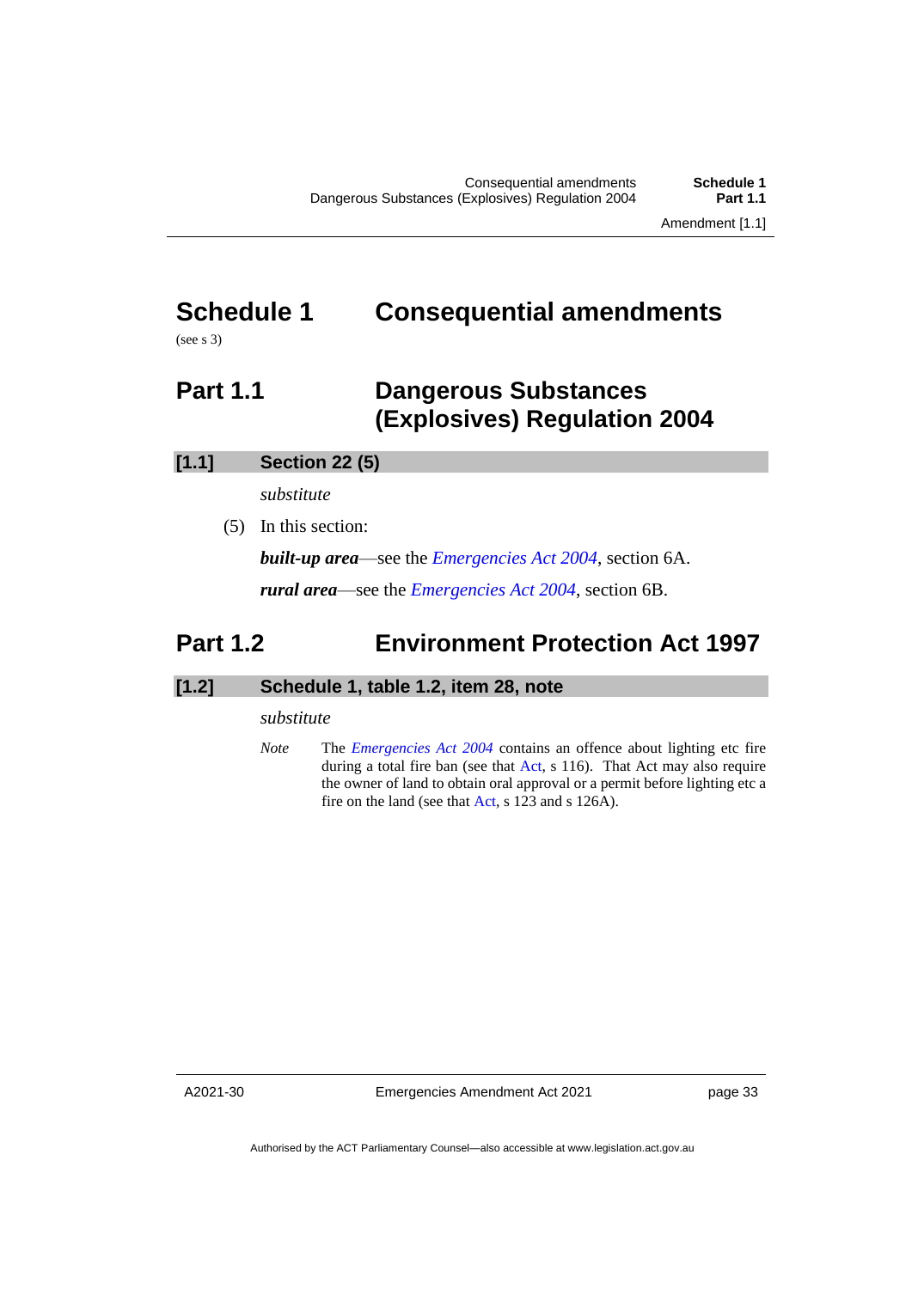## <span id="page-36-0"></span>**Schedule 1 Consequential amendments**

<span id="page-36-1"></span>(see s 3)

### **Part 1.1 Dangerous Substances (Explosives) Regulation 2004**

#### **[1.1] Section 22 (5)**

*substitute*

(5) In this section:

*built-up area*—see the *[Emergencies Act 2004](http://www.legislation.act.gov.au/a/2004-28)*, section 6A. *rural area*—see the *[Emergencies Act 2004](http://www.legislation.act.gov.au/a/2004-28)*, section 6B.

### <span id="page-36-2"></span>**Part 1.2 Environment Protection Act 1997**

#### **[1.2] Schedule 1, table 1.2, item 28, note**

#### *substitute*

*Note* The *[Emergencies Act 2004](http://www.legislation.act.gov.au/a/2004-28)* contains an offence about lighting etc fire during a total fire ban (see that [Act,](https://www.legislation.act.gov.au/a/2004-28) s 116). That Act may also require the owner of land to obtain oral approval or a permit before lighting etc a fire on the land (see that [Act,](https://www.legislation.act.gov.au/a/2004-28) s 123 and s 126A).

A2021-30

Emergencies Amendment Act 2021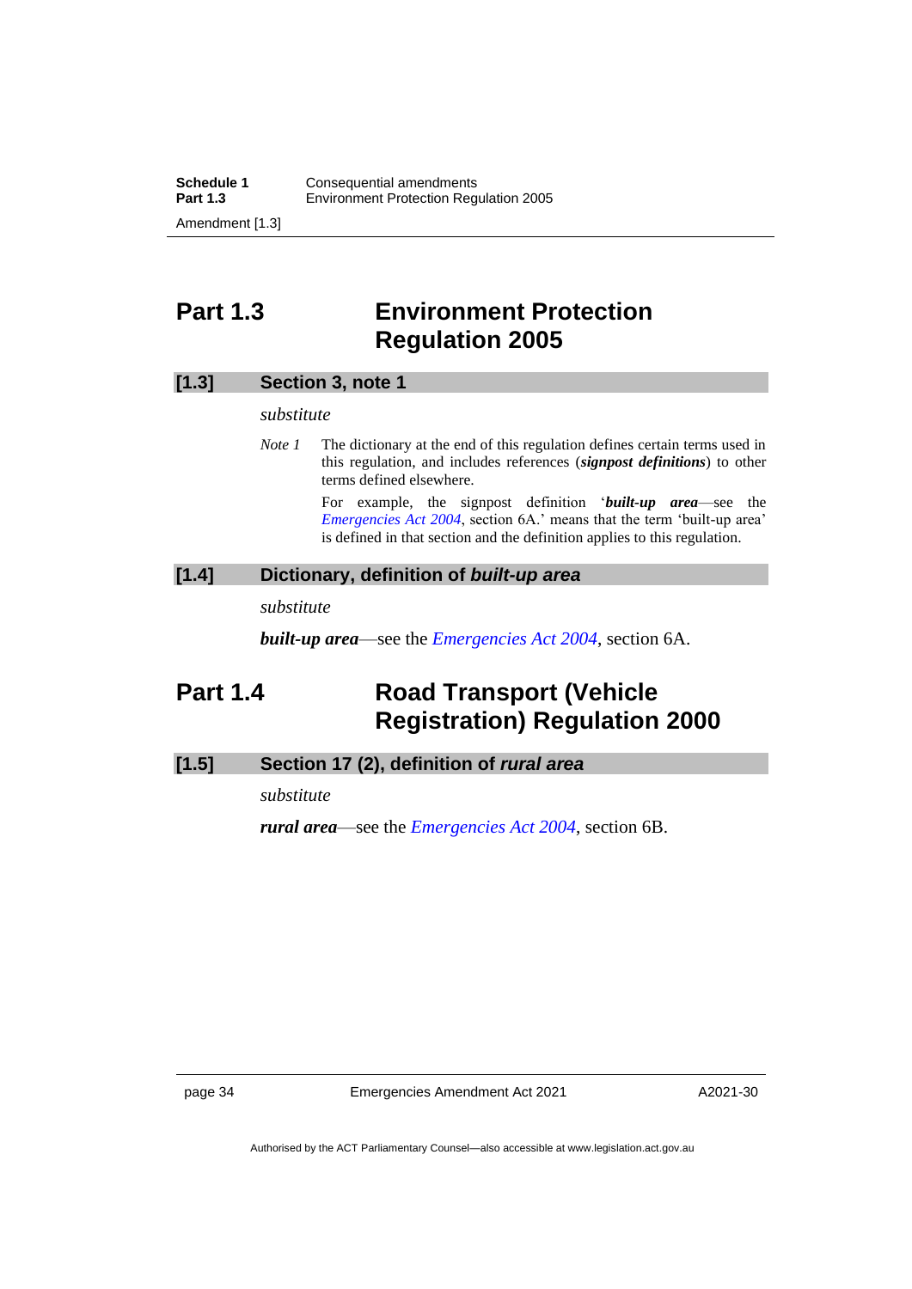### <span id="page-37-0"></span>**Part 1.3 Environment Protection Regulation 2005**

#### **[1.3] Section 3, note 1**

#### *substitute*

*Note 1* The dictionary at the end of this regulation defines certain terms used in this regulation, and includes references (*signpost definitions*) to other terms defined elsewhere.

> For example, the signpost definition '*built-up area*—see the *[Emergencies Act 2004](http://www.legislation.act.gov.au/a/2004-28)*, section 6A.' means that the term 'built-up area' is defined in that section and the definition applies to this regulation.

#### **[1.4] Dictionary, definition of** *built-up area*

*substitute*

*built-up area*—see the *[Emergencies Act 2004](http://www.legislation.act.gov.au/a/2004-28)*, section 6A.

### <span id="page-37-1"></span>**Part 1.4 Road Transport (Vehicle Registration) Regulation 2000**

#### **[1.5] Section 17 (2), definition of** *rural area*

*substitute*

*rural area*—see the *[Emergencies Act 2004](http://www.legislation.act.gov.au/a/2004-28)*, section 6B.

page 34 Emergencies Amendment Act 2021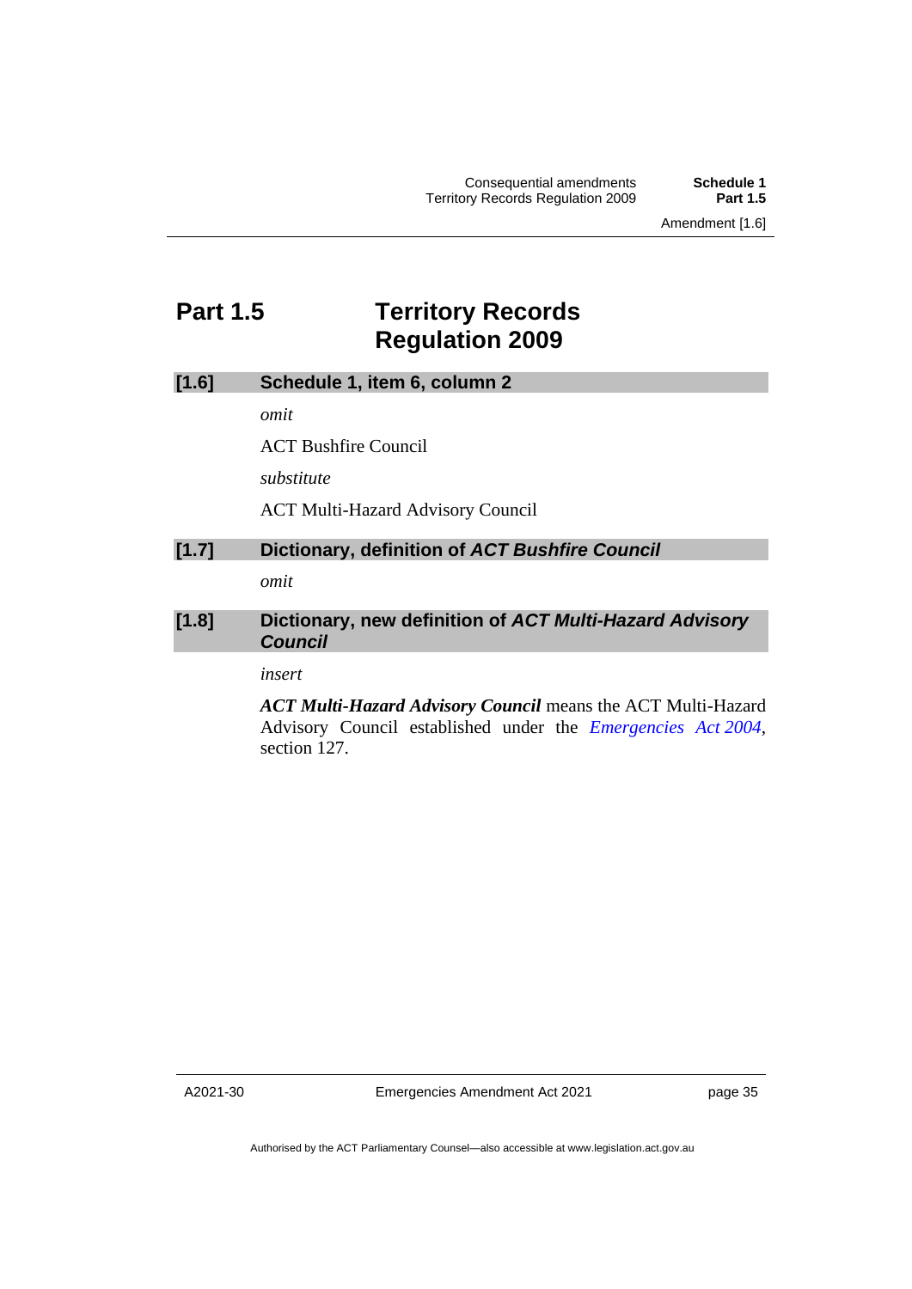### <span id="page-38-0"></span>**Part 1.5 Territory Records Regulation 2009**

| [1.6]<br>Schedule 1, item 6, column 2 |
|---------------------------------------|
|---------------------------------------|

*omit*

ACT Bushfire Council

*substitute*

ACT Multi-Hazard Advisory Council

#### **[1.7] Dictionary, definition of** *ACT Bushfire Council*

*omit*

#### **[1.8] Dictionary, new definition of** *ACT Multi-Hazard Advisory Council*

*insert*

*ACT Multi-Hazard Advisory Council* means the ACT Multi-Hazard Advisory Council established under the *[Emergencies Act](http://www.legislation.act.gov.au/a/2004-28) 2004*, section 127.

A2021-30

Emergencies Amendment Act 2021